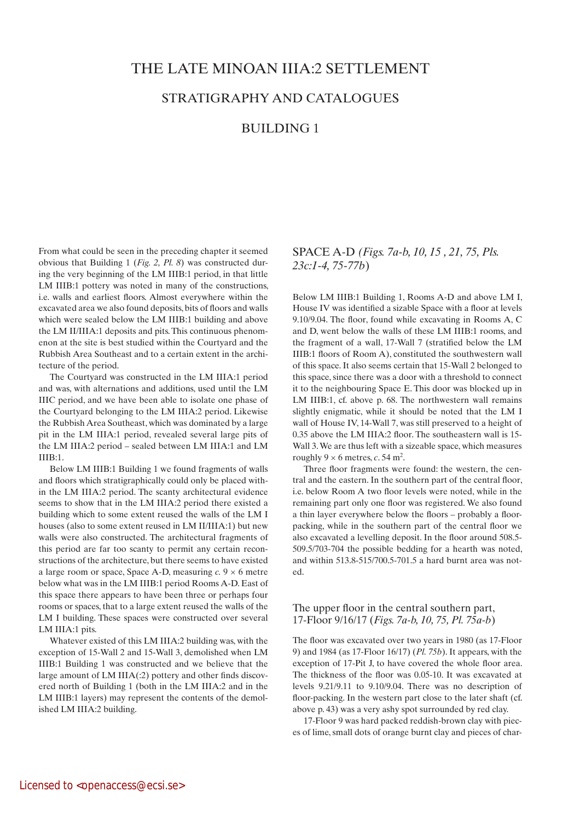# THE LATE MINOAN IIIA:2 SETTLEMEnT

# STRATIGRAPHY AND CATALOGUES

# BUILDING 1

From what could be seen in the preceding chapter it seemed obvious that Building 1 (*Fig. 2, Pl. 8*) was constructed during the very beginning of the LM IIIB:1 period, in that little LM IIIB:1 pottery was noted in many of the constructions, i.e. walls and earliest floors. Almost everywhere within the excavated area we also found deposits, bits of floors and walls which were sealed below the LM IIIB:1 building and above the LM II/IIIA:1 deposits and pits. This continuous phenomenon at the site is best studied within the Courtyard and the Rubbish Area Southeast and to a certain extent in the architecture of the period.

The Courtyard was constructed in the LM IIIA:1 period and was, with alternations and additions, used until the LM IIIC period, and we have been able to isolate one phase of the Courtyard belonging to the LM IIIA:2 period. Likewise the Rubbish Area Southeast, which was dominated by a large pit in the LM IIIA:1 period, revealed several large pits of the LM IIIA:2 period – sealed between LM IIIA:1 and LM IIIB:1.

Below LM IIIB:1 Building 1 we found fragments of walls and floors which stratigraphically could only be placed within the LM IIIA:2 period. The scanty architectural evidence seems to show that in the LM IIIA:2 period there existed a building which to some extent reused the walls of the LM I houses (also to some extent reused in LM II/IIIA:1) but new walls were also constructed. The architectural fragments of this period are far too scanty to permit any certain reconstructions of the architecture, but there seems to have existed a large room or space, Space A-D, measuring  $c$ .  $9 \times 6$  metre below what was in the LM IIIB:1 period Rooms A-D. East of this space there appears to have been three or perhaps four rooms or spaces, that to a large extent reused the walls of the LM I building. These spaces were constructed over several LM IIIA:1 pits.

Whatever existed of this LM IIIA:2 building was, with the exception of 15-Wall 2 and 15-Wall 3, demolished when LM IIIB:1 Building 1 was constructed and we believe that the large amount of LM IIIA(:2) pottery and other finds discovered north of Building 1 (both in the LM IIIA:2 and in the LM IIIB:1 layers) may represent the contents of the demolished LM IIIA:2 building.

SPACE A-D *(Figs. 7a-b, 10, 15 , 21, 75, Pls. 23c:1-4, 75-77b*)

Below LM IIIB:1 Building 1, Rooms A-D and above LM I, House IV was identified a sizable Space with a floor at levels 9.10/9.04. The floor, found while excavating in Rooms A, C and D, went below the walls of these LM IIIB:1 rooms, and the fragment of a wall, 17-Wall 7 (stratified below the LM IIIB:1 floors of Room A), constituted the southwestern wall of this space. It also seems certain that 15-Wall 2 belonged to this space, since there was a door with a threshold to connect it to the neighbouring Space E. This door was blocked up in LM IIIB:1, cf. above p. 68. The northwestern wall remains slightly enigmatic, while it should be noted that the LM I wall of House IV, 14-Wall 7, was still preserved to a height of 0.35 above the LM IIIA:2 floor. The southeastern wall is 15- Wall 3. We are thus left with a sizeable space, which measures roughly  $9 \times 6$  metres, *c*, 54 m<sup>2</sup>.

Three floor fragments were found: the western, the central and the eastern. In the southern part of the central floor, i.e. below Room A two floor levels were noted, while in the remaining part only one floor was registered. We also found a thin layer everywhere below the floors – probably a floorpacking, while in the southern part of the central floor we also excavated a levelling deposit. In the floor around 508.5- 509.5/703-704 the possible bedding for a hearth was noted, and within 513.8-515/700.5-701.5 a hard burnt area was noted.

# The upper floor in the central southern part, 17-Floor 9/16/17 (*Figs. 7a-b, 10, 75, Pl. 75a-b*)

The floor was excavated over two years in 1980 (as 17-Floor 9) and 1984 (as 17-Floor 16/17) (*Pl. 75b*). It appears, with the exception of 17-Pit J, to have covered the whole floor area. The thickness of the floor was 0.05-10. It was excavated at levels 9.21/9.11 to 9.10/9.04. There was no description of floor-packing. In the western part close to the later shaft (cf. above p. 43) was a very ashy spot surrounded by red clay.

17-Floor 9 was hard packed reddish-brown clay with pieces of lime, small dots of orange burnt clay and pieces of char-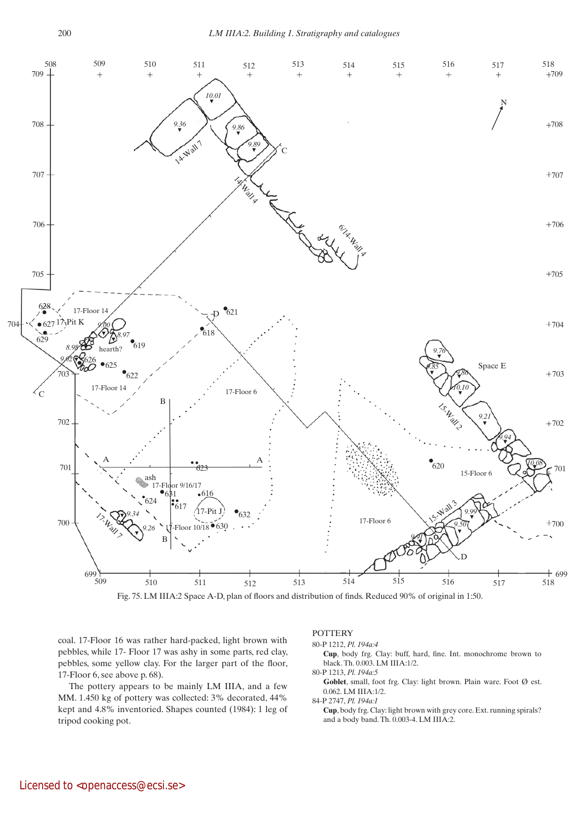

Fig. 75. LM IIIA:2 Space A-D, plan of floors and distribution of finds. Reduced 90% of original in 1:50.

coal. 17-Floor 16 was rather hard-packed, light brown with pebbles, while 17- Floor 17 was ashy in some parts, red clay, pebbles, some yellow clay. For the larger part of the floor, 17-Floor 6, see above p. 68).

The pottery appears to be mainly LM IIIA, and a few MM. 1.450 kg of pottery was collected: 3% decorated, 44% kept and 4.8% inventoried. Shapes counted (1984): 1 leg of tripod cooking pot.

#### **POTTERY**

```
80-P 1212, Pl. 194a:4
```
 **Cup**, body frg. Clay: buff, hard, fine. Int. monochrome brown to black. Th. 0.003. LM IIIA:1/2.

80-P 1213, *Pl. 194a:5* Goblet, small, foot frg. Clay: light brown. Plain ware. Foot  $\emptyset$  est. 0.062. LM IIIA:1/2.

84-P 2747, *Pl. 194a:1*

 **Cup**, body frg. Clay: light brown with grey core. Ext. running spirals? and a body band. Th. 0.003-4. LM IIIA:2.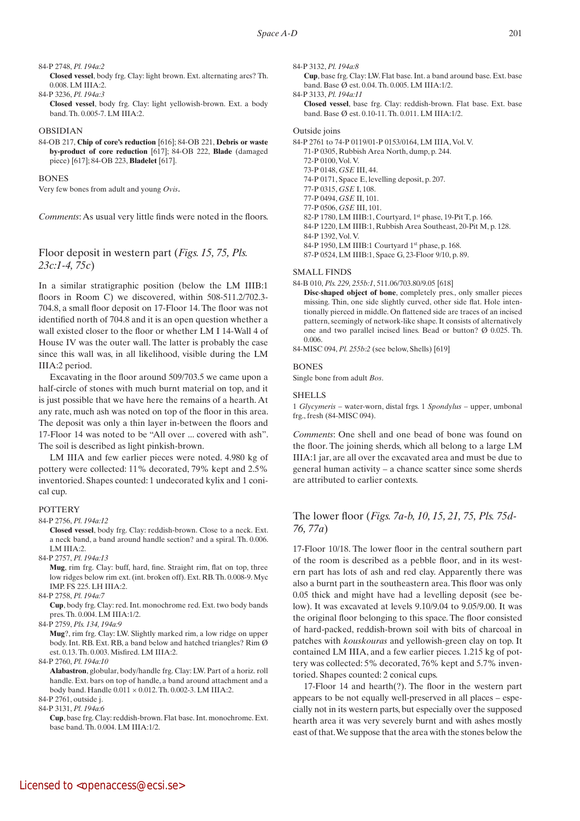## 84-P 2748, *Pl. 194a:2*

 **Closed vessel**, body frg. Clay: light brown. Ext. alternating arcs? Th. 0.008. LM IIIA:2.

84-P 3236, *Pl. 194a:3*

 **Closed vessel**, body frg. Clay: light yellowish-brown. Ext. a body band. Th. 0.005-7. LM IIIA:2.

#### OBSIDIAN

84-OB 217, **Chip of core's reduction** [616]; 84-OB 221, **Debris or waste by-product of core reduction** [617]; 84-OB 222, **Blade** (damaged piece) [617]; 84-OB 223, **Bladelet** [617].

#### **BONES**

Very few bones from adult and young *Ovis*.

*Comments*: As usual very little finds were noted in the floors.

# Floor deposit in western part (*Figs. 15, 75, Pls. 23c:1-4, 75c*)

In a similar stratigraphic position (below the LM IIIB:1 floors in Room C) we discovered, within 508-511.2/702.3- 704.8, a small floor deposit on 17-Floor 14. The floor was not identified north of 704.8 and it is an open question whether a wall existed closer to the floor or whether LM I 14-Wall 4 of House IV was the outer wall. The latter is probably the case since this wall was, in all likelihood, visible during the LM IIIA:2 period.

Excavating in the floor around 509/703.5 we came upon a half-circle of stones with much burnt material on top, and it is just possible that we have here the remains of a hearth. At any rate, much ash was noted on top of the floor in this area. The deposit was only a thin layer in-between the floors and 17-Floor 14 was noted to be "All over ... covered with ash". The soil is described as light pinkish-brown.

LM IIIA and few earlier pieces were noted. 4.980 kg of pottery were collected: 11% decorated, 79% kept and 2.5% inventoried. Shapes counted: 1 undecorated kylix and 1 conical cup.

#### **POTTERY**

84-P 2756, *Pl. 194a:12*

 **Closed vessel**, body frg. Clay: reddish-brown. Close to a neck. Ext. a neck band, a band around handle section? and a spiral. Th. 0.006. LM IIIA:2.

84-P 2757, *Pl. 194a:13*

 **Mug**, rim frg. Clay: buff, hard, fine. Straight rim, flat on top, three low ridges below rim ext. (int. broken off). Ext. RB. Th. 0.008-9. Myc IMP. FS 225. LH IIIA:2.

84-P 2758, *Pl. 194a:7*

 **Cup**, body frg. Clay: red. Int. monochrome red. Ext. two body bands pres. Th. 0.004. LM IIIA:1/2.

84-P 2759, *Pls. 134, 194a:9*

 **Mug**?, rim frg. Clay: LW. Slightly marked rim, a low ridge on upper body. Int. RB. Ext. RB, a band below and hatched triangles? Rim Ø est. 0.13. Th. 0.003. Misfired. LM IIIA:2.

84-P 2760, *Pl. 194a:10*

 **Alabastron**, globular, body/handle frg. Clay: LW. Part of a horiz. roll handle. Ext. bars on top of handle, a band around attachment and a body band. Handle  $0.011 \times 0.012$ . Th. 0.002-3. LM IIIA:2.

84-P 2761, outside j.

84-P 3131, *Pl. 194a:6*

 **Cup**, base frg. Clay: reddish-brown. Flat base. Int. monochrome. Ext. base band. Th. 0.004. LM IIIA:1/2.

84-P 3132, *Pl. 194a:8*

 **Cup**, base frg. Clay: LW. Flat base. Int. a band around base. Ext. base band. Base Ø est. 0.04. Th. 0.005. LM IIIA:1/2.

84-P 3133, *Pl. 194a:11*  **Closed vessel**, base frg. Clay: reddish-brown. Flat base. Ext. base band. Base Ø est. 0.10-11. Th. 0.011. LM IIIA:1/2.

#### Outside joins

84-P 2761 to 74-P 0119/01-P 0153/0164, LM IIIA, Vol. V. 71-P 0305, Rubbish Area North, dump, p. 244. 72-P 0100, Vol. V. 73-P 0148, *GSE* III, 44. 74-P 0171, Space E, levelling deposit, p. 207. 77-P 0315, *GSE* I, 108. 77-P 0494, *GSE* II, 101. 77-P 0506, *GSE* III, 101. 82-P 1780, LM IIIB:1, Courtyard, 1st phase, 19-Pit T, p. 166. 84-P 1220, LM IIIB:1, Rubbish Area Southeast, 20-Pit M, p. 128. 84-P 1392, Vol. V. 84-P 1950, LM IIIB:1 Courtyard 1<sup>st</sup> phase, p. 168. 87-P 0524, LM IIIB:1, Space G, 23-Floor 9/10, p. 89.

SMALL FINDS

- 84-B 010, *Pls. 229, 255b:1*, 511.06/703.80/9.05 [618]
	- **Disc**-**shaped object of bone**, completely pres., only smaller pieces missing. Thin, one side slightly curved, other side flat. Hole intentionally pierced in middle. On flattened side are traces of an incised pattern, seemingly of network-like shape. It consists of alternatively one and two parallel incised lines. Bead or button? Ø 0.025. Th. 0.006.
- 84-MISC 094, *Pl. 255b:2* (see below, Shells) [619]

#### BONES

Single bone from adult *Bos*.

#### SHELLS

1 *Glycymeris* – water-worn, distal frgs. 1 *Spondylus* – upper, umbonal frg., fresh (84-MISC 094).

*Comments*: One shell and one bead of bone was found on the floor. The joining sherds, which all belong to a large LM IIIA:1 jar, are all over the excavated area and must be due to general human activity – a chance scatter since some sherds are attributed to earlier contexts.

# The lower floor (*Figs. 7a-b, 10, 15, 21, 75, Pls. 75d-76, 77a*)

17-Floor 10/18. The lower floor in the central southern part of the room is described as a pebble floor, and in its western part has lots of ash and red clay. Apparently there was also a burnt part in the southeastern area. This floor was only 0.05 thick and might have had a levelling deposit (see below). It was excavated at levels 9.10/9.04 to 9.05/9.00. It was the original floor belonging to this space. The floor consisted of hard-packed, reddish-brown soil with bits of charcoal in patches with *kouskouras* and yellowish-green clay on top. It contained LM IIIA, and a few earlier pieces. 1.215 kg of pottery was collected: 5% decorated, 76% kept and 5.7% inventoried. Shapes counted: 2 conical cups.

17-Floor 14 and hearth(?). The floor in the western part appears to be not equally well-preserved in all places – especially not in its western parts, but especially over the supposed hearth area it was very severely burnt and with ashes mostly east of that. We suppose that the area with the stones below the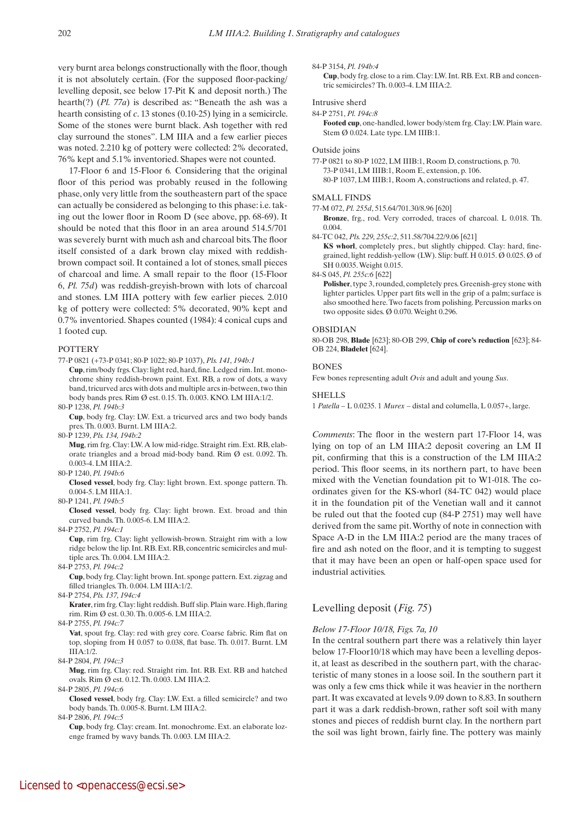very burnt area belongs constructionally with the floor, though it is not absolutely certain. (For the supposed floor-packing/ levelling deposit, see below 17-Pit K and deposit north.) The hearth(?) (*Pl. 77a*) is described as: "Beneath the ash was a hearth consisting of *c*. 13 stones (0.10-25) lying in a semicircle. Some of the stones were burnt black. Ash together with red clay surround the stones". LM IIIA and a few earlier pieces was noted. 2.210 kg of pottery were collected: 2% decorated, 76% kept and 5.1% inventoried. Shapes were not counted.

17-Floor 6 and 15-Floor 6*.* Considering that the original floor of this period was probably reused in the following phase, only very little from the southeastern part of the space can actually be considered as belonging to this phase: i.e. taking out the lower floor in Room D (see above, pp. 68-69). It should be noted that this floor in an area around 514.5/701 was severely burnt with much ash and charcoal bits. The floor itself consisted of a dark brown clay mixed with reddishbrown compact soil. It contained a lot of stones, small pieces of charcoal and lime. A small repair to the floor (15-Floor 6, *Pl. 75d*) was reddish-greyish-brown with lots of charcoal and stones. LM IIIA pottery with few earlier pieces. 2.010 kg of pottery were collected: 5% decorated, 90% kept and 0.7% inventoried. Shapes counted (1984): 4 conical cups and 1 footed cup.

#### **POTTERY**

77-P 0821 (+73-P 0341; 80-P 1022; 80-P 1037), *Pls. 141, 194b:1* 

**Cup**, rim/body frgs. Clay: light red, hard, fine. Ledged rim. Int. monochrome shiny reddish-brown paint. Ext. RB, a row of dots, a wavy band, tricurved arcs with dots and multiple arcs in-between, two thin body bands pres. Rim Ø est. 0.15. Th. 0.003. KNO. LM IIIA:1/2.

80-P 1238, *Pl. 194b:3*

 **Cup**, body frg. Clay: LW. Ext. a tricurved arcs and two body bands pres. Th. 0.003. Burnt. LM IIIA:2.

80-P 1239, *Pls. 134, 194b:2*

 **Mug**, rim frg. Clay: LW. A low mid-ridge. Straight rim. Ext. RB, elaborate triangles and a broad mid-body band. Rim Ø est. 0.092. Th. 0.003-4. LM IIIA:2.

80-P 1240, *Pl. 194b:6*

 **Closed vessel**, body frg. Clay: light brown. Ext. sponge pattern. Th. 0.004-5. LM IIIA:1.

80-P 1241, *Pl. 194b:5*

 **Closed vessel**, body frg. Clay: light brown. Ext. broad and thin curved bands. Th. 0.005-6. LM IIIA:2.

84-P 2752, *Pl. 194c:1*

 **Cup**, rim frg. Clay: light yellowish-brown. Straight rim with a low ridge below the lip. Int. RB. Ext. RB, concentric semicircles and multiple arcs. Th. 0.004. LM IIIA:2.

84-P 2753, *Pl. 194c:2*

 **Cup**, body frg. Clay: light brown. Int. sponge pattern. Ext. zigzag and filled triangles. Th. 0.004. LM IIIA:1/2.

84-P 2754, *Pls. 137, 194c:4* 

 **Krater**, rim frg. Clay: light reddish. Buff slip. Plain ware. High, flaring rim. Rim Ø est. 0.30. Th. 0.005-6. LM IIIA:2.

84-P 2755, *Pl. 194c:7*

**Vat**, spout frg. Clay: red with grey core. Coarse fabric. Rim flat on top, sloping from H 0.057 to 0.038, flat base. Th. 0.017. Burnt. LM IIIA:1/2.

84-P 2804, *Pl. 194c:3*

 **Mug**, rim frg. Clay: red. Straight rim. Int. RB. Ext. RB and hatched ovals. Rim Ø est. 0.12. Th. 0.003. LM IIIA:2.

84-P 2805, *Pl. 194c:6*

 **Closed vessel**, body frg. Clay: LW. Ext. a filled semicircle? and two body bands. Th. 0.005-8. Burnt. LM IIIA:2.

84-P 2806, *Pl. 194c:5*

 **Cup**, body frg. Clay: cream. Int. monochrome. Ext. an elaborate lozenge framed by wavy bands. Th. 0.003. LM IIIA:2.

#### 84-P 3154, *Pl. 194b:4*

 **Cup**, body frg. close to a rim. Clay: LW. Int. RB. Ext. RB and concentric semicircles? Th. 0.003-4. LM IIIA:2.

#### Intrusive sherd

84-P 2751, *Pl. 194c:8*

 **Footed cup**, one-handled, lower body/stem frg. Clay: LW. Plain ware. Stem Ø 0.024. Late type. LM IIIB:1.

#### Outside joins

77-P 0821 to 80-P 1022, LM IIIB:1, Room D, constructions, p. 70. 73-P 0341, LM IIIB:1, Room E, extension, p. 106. 80-P 1037, LM IIIB:1, Room A, constructions and related, p. 47.

#### SMALL FINDS

77-M 072, *Pl. 255d*, 515.64/701.30/8.96 [620]

 **Bronze**, frg., rod. Very corroded, traces of charcoal. L 0.018. Th. 0.004.

84-TC 042, *Pls. 229, 255c:2*, 511.58/704.22/9.06 [621]

 **KS whorl**, completely pres., but slightly chipped. Clay: hard, finegrained, light reddish-yellow (LW). Slip: buff. H 0.015. Ø 0.025. Ø of SH 0.0035. Weight 0.015.

84-S 045, *Pl. 255c:6* [622]

Polisher, type 3, rounded, completely pres. Greenish-grey stone with lighter particles. Upper part fits well in the grip of a palm; surface is also smoothed here. Two facets from polishing. Percussion marks on two opposite sides. Ø 0.070. Weight 0.296.

#### OBSIDIAN

80-OB 298, **Blade** [623]; 80-OB 299, **Chip of core's reduction** [623]; 84- OB 224, **Bladelet** [624].

## **BONES**

Few bones representing adult *Ovis* and adult and young *Sus*.

#### **SHELLS**

1 *Patella* – L 0.0235. 1 *Murex* – distal and columella, L 0.057+, large.

*Comments*: The floor in the western part 17-Floor 14, was lying on top of an LM IIIA:2 deposit covering an LM II pit, confirming that this is a construction of the LM IIIA:2 period. This floor seems, in its northern part, to have been mixed with the Venetian foundation pit to W1-018. The coordinates given for the KS-whorl (84-TC 042) would place it in the foundation pit of the Venetian wall and it cannot be ruled out that the footed cup (84-P 2751) may well have derived from the same pit. Worthy of note in connection with Space A-D in the LM IIIA:2 period are the many traces of fire and ash noted on the floor, and it is tempting to suggest that it may have been an open or half-open space used for industrial activities.

# Levelling deposit (*Fig. 75*)

#### *Below 17-Floor 10/18, Figs. 7a, 10*

In the central southern part there was a relatively thin layer below 17-Floor10/18 which may have been a levelling deposit, at least as described in the southern part, with the characteristic of many stones in a loose soil. In the southern part it was only a few cms thick while it was heavier in the northern part. It was excavated at levels 9.09 down to 8.83. In southern part it was a dark reddish-brown, rather soft soil with many stones and pieces of reddish burnt clay. In the northern part the soil was light brown, fairly fine. The pottery was mainly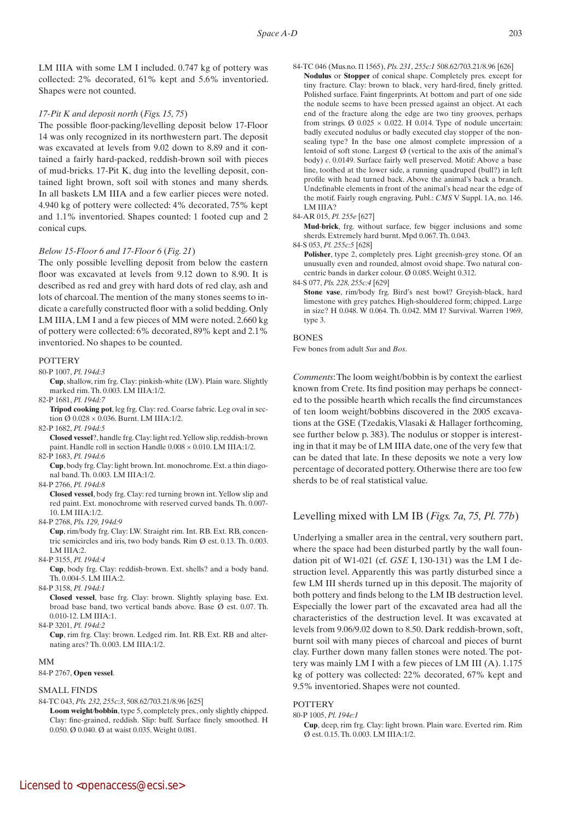LM IIIA with some LM I included. 0.747 kg of pottery was collected: 2% decorated, 61% kept and 5.6% inventoried. Shapes were not counted.

#### *17-Pit K and deposit north* (*Figs. 15, 75*)

The possible floor-packing/levelling deposit below 17-Floor 14 was only recognized in its northwestern part. The deposit was excavated at levels from 9.02 down to 8.89 and it contained a fairly hard-packed, reddish-brown soil with pieces of mud-bricks. 17-Pit K, dug into the levelling deposit, contained light brown, soft soil with stones and many sherds. In all baskets LM IIIA and a few earlier pieces were noted. 4.940 kg of pottery were collected: 4% decorated, 75% kept and 1.1% inventoried. Shapes counted: 1 footed cup and 2 conical cups.

## *Below 15-Floor 6 and 17-Floor 6* (*Fig. 21*)

The only possible levelling deposit from below the eastern floor was excavated at levels from 9.12 down to 8.90. It is described as red and grey with hard dots of red clay, ash and lots of charcoal. The mention of the many stones seems to indicate a carefully constructed floor with a solid bedding. Only LM IIIA, LM I and a few pieces of MM were noted. 2.660 kg of pottery were collected: 6% decorated, 89% kept and 2.1% inventoried. No shapes to be counted.

#### **POTTERY**

80-P 1007, *Pl. 194d:3*

 **Cup**, shallow, rim frg. Clay: pinkish-white (LW). Plain ware. Slightly marked rim. Th. 0.003. LM IIIA:1/2.

82-P 1681, *Pl. 194d:7*

 **Tripod cooking pot**, leg frg. Clay: red. Coarse fabric. Leg oval in section Ø 0.028 × 0.036. Burnt. LM IIIA:1/2.

82-P 1682, *Pl. 194d:5*

 **Closed vessel**?, handle frg. Clay: light red. Yellow slip, reddish-brown paint. Handle roll in section Handle 0.008 × 0.010. LM IIIA:1/2.

82-P 1683, *Pl. 194d:6*

 **Cup**, body frg. Clay: light brown. Int. monochrome. Ext. a thin diagonal band. Th. 0.003. LM IIIA:1/2.

84-P 2766, *Pl. 194d:8*

 **Closed vessel**, body frg. Clay: red turning brown int. Yellow slip and red paint. Ext. monochrome with reserved curved bands. Th. 0.007- 10. LM IIIA:1/2.

84-P 2768, *Pls. 129, 194d:9*

 **Cup**, rim/body frg. Clay: LW. Straight rim. Int. RB. Ext. RB, concentric semicircles and iris, two body bands. Rim Ø est. 0.13. Th. 0.003. LM IIIA:2.

84-P 3155, *Pl. 194d:4*

 **Cup**, body frg. Clay: reddish-brown. Ext. shells? and a body band. Th. 0.004-5. LM IIIA:2.

84-P 3158, *Pl. 194d:1*

 **Closed vessel**, base frg. Clay: brown. Slightly splaying base. Ext. broad base band, two vertical bands above. Base Ø est. 0.07. Th. 0.010-12. LM IIIA:1.

84-P 3201, *Pl. 194d:2*

 **Cup**, rim frg. Clay: brown. Ledged rim. Int. RB. Ext. RB and alternating arcs? Th. 0.003. LM IIIA:1/2.

#### MM

# 84-P 2767, **Open vessel**.

## SMALL FINDS

84-TC 043, *Pls. 232, 255c:3*, 508.62/703.21/8.96 [625]

 **Loom weight***/***bobbin**, type 5, completely pres., only slightly chipped. Clay: fine-grained, reddish. Slip: buff. Surface finely smoothed. H 0.050. Ø 0.040. Ø at waist 0.035. Weight 0.081.

84-TC 046 (Mus.no. Π 1565), *Pls. 231*, *255c:1* 508.62/703.21/8.96 [626]  **Nodulus** or **Stopper** of conical shape. Completely pres. except for tiny fracture. Clay: brown to black, very hard-fired, finely gritted. Polished surface. Faint fingerprints. At bottom and part of one side the nodule seems to have been pressed against an object. At each end of the fracture along the edge are two tiny grooves, perhaps from strings. Ø  $0.025 \times 0.022$ . H 0.014. Type of nodule uncertain: badly executed nodulus or badly executed clay stopper of the nonsealing type? In the base one almost complete impression of a lentoid of soft stone. Largest  $\emptyset$  (vertical to the axis of the animal's body) *c*. 0.0149. Surface fairly well preserved. Motif: Above a base line, toothed at the lower side, a running quadruped (bull?) in left profile with head turned back. Above the animal's back a branch. Undefinable elements in front of the animal's head near the edge of the motif. Fairly rough engraving. Publ.: *CMS* V Suppl. 1A, no. 146. LM IIIA?

84-AR 015, *Pl. 255e* [627]

 **Mud**-**brick**, frg. without surface, few bigger inclusions and some sherds. Extremely hard burnt. Mpd 0.067. Th. 0.043.

84-S 053, *Pl. 255c:5* [628]

Polisher, type 2, completely pres. Light greenish-grey stone. Of an unusually even and rounded, almost ovoid shape. Two natural concentric bands in darker colour. Ø 0.085. Weight 0.312.

84-S 077, *Pls. 228, 255c:4* [629]

 **Stone vase**, rim/body frg. Bird's nest bowl? Greyish-black, hard limestone with grey patches. High-shouldered form; chipped. Large in size? H 0.048. W 0.064. Th. 0.042. MM I? Survival. Warren 1969, type 3.

#### **BONES**

Few bones from adult *Sus* and *Bos*.

*Comments*: The loom weight/bobbin is by context the earliest known from Crete. Its find position may perhaps be connected to the possible hearth which recalls the find circumstances of ten loom weight/bobbins discovered in the 2005 excavations at the GSE (Tzedakis, Vlasaki & Hallager forthcoming, see further below p. 383). The nodulus or stopper is interesting in that it may be of LM IIIA date, one of the very few that can be dated that late. In these deposits we note a very low percentage of decorated pottery. Otherwise there are too few sherds to be of real statistical value.

# Levelling mixed with LM IB (*Figs. 7a, 75, Pl. 77b*)

Underlying a smaller area in the central, very southern part, where the space had been disturbed partly by the wall foundation pit of W1-021 (cf. *GSE* I, 130-131) was the LM I destruction level. Apparently this was partly disturbed since a few LM III sherds turned up in this deposit. The majority of both pottery and finds belong to the LM IB destruction level. Especially the lower part of the excavated area had all the characteristics of the destruction level. It was excavated at levels from 9.06/9.02 down to 8.50. Dark reddish-brown, soft, burnt soil with many pieces of charcoal and pieces of burnt clay. Further down many fallen stones were noted. The pottery was mainly LM I with a few pieces of LM III (A). 1.175 kg of pottery was collected: 22% decorated, 67% kept and 9.5% inventoried. Shapes were not counted.

# **POTTERY**

80-P 1005, *Pl. 194e:1*

 **Cup**, deep, rim frg. Clay: light brown. Plain ware. Everted rim. Rim Ø est. 0.15. Th. 0.003. LM IIIA:1/2.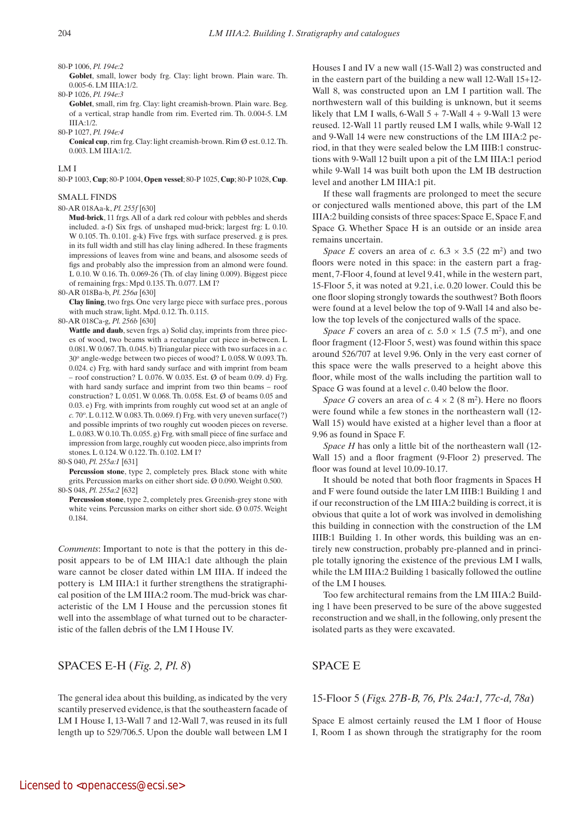Goblet, small, lower body frg. Clay: light brown. Plain ware. Th. 0.005-6. LM IIIA:1/2. 80-P 1026, *Pl. 194e:3*

Goblet, small, rim frg. Clay: light creamish-brown. Plain ware. Beg. of a vertical, strap handle from rim. Everted rim. Th. 0.004-5. LM IIIA:1/2.

80-P 1027, *Pl. 194e:4*

 **Conical cup**, rim frg. Clay: light creamish-brown. Rim Ø est. 0.12. Th. 0.003. LM IIIA:1/2.

LM I

80-P 1003, **Cup**; 80-P 1004, **Open vessel**; 80-P 1025, **Cup**; 80-P 1028, **Cup**.

#### SMALL FINDS

## 80-AR 018Aa-k, *Pl. 255f* [630]

 **Mud**-**brick**, 11 frgs. All of a dark red colour with pebbles and sherds included. a-f) Six frgs. of unshaped mud-brick; largest frg: L 0.10. W 0.105. Th. 0.101. g-k) Five frgs. with surface preserved. g is pres. in its full width and still has clay lining adhered. In these fragments impressions of leaves from wine and beans, and alsosome seeds of figs and probably also the impression from an almond were found. L 0.10. W 0.16. Th. 0.069-26 (Th. of clay lining 0.009). Biggest piece of remaining frgs.: Mpd 0.135. Th. 0.077. LM I?

80-AR 018Ba-b, *Pl. 256a* [630]

 **Clay lining**, two frgs. One very large piece with surface pres., porous with much straw, light. Mpd. 0.12. Th. 0.115.

80-AR 018Ca-g, *Pl. 256b* [630]

Wattle and daub, seven frgs. a) Solid clay, imprints from three pieces of wood, two beams with a rectangular cut piece in-between. L 0.081. W 0.067. Th. 0.045. b) Triangular piece with two surfaces in a *c.*  30o angle-wedge between two pieces of wood? L 0.058. W 0.093. Th. 0.024. c) Frg. with hard sandy surface and with imprint from beam – roof construction? L 0.076. W 0.035. Est.  $\emptyset$  of beam 0.09. d) Frg. with hard sandy surface and imprint from two thin beams – roof construction? L 0.051. W 0.068. Th. 0.058. Est. Ø of beams 0.05 and 0.03. e) Frg. with imprints from roughly cut wood set at an angle of *c.* 70o. L 0.112. W 0.083. Th. 0.069. f) Frg. with very uneven surface(?) and possible imprints of two roughly cut wooden pieces on reverse. L. 0.083. W 0.10. Th. 0.055. g) Frg. with small piece of fine surface and impression from large, roughly cut wooden piece, also imprints from stones. L 0.124. W 0.122. Th. 0.102. LM I?

80-S 040, *Pl. 255a:1* [631]

Percussion stone, type 2, completely pres. Black stone with white grits. Percussion marks on either short side. Ø 0.090. Weight 0.500. 80-S 048, *Pl. 255a:2* [632]

**Percussion stone**, type 2, completely pres. Greenish-grey stone with white veins. Percussion marks on either short side. Ø 0.075. Weight 0.184.

*Comments*: Important to note is that the pottery in this deposit appears to be of LM IIIA:1 date although the plain ware cannot be closer dated within LM IIIA. If indeed the pottery is LM IIIA:1 it further strengthens the stratigraphical position of the LM IIIA:2 room. The mud-brick was characteristic of the LM I House and the percussion stones fit well into the assemblage of what turned out to be characteristic of the fallen debris of the LM I House IV.

# SPACES E-H (*Fig. 2, Pl. 8*)

The general idea about this building, as indicated by the very scantily preserved evidence, is that the southeastern facade of LM I House I, 13-Wall 7 and 12-Wall 7, was reused in its full length up to 529/706.5. Upon the double wall between LM I Houses I and IV a new wall (15-Wall 2) was constructed and in the eastern part of the building a new wall 12-Wall 15+12- Wall 8, was constructed upon an LM I partition wall. The northwestern wall of this building is unknown, but it seems likely that LM I walls,  $6$ -Wall  $5 + 7$ -Wall  $4 + 9$ -Wall 13 were reused. 12-Wall 11 partly reused LM I walls, while 9-Wall 12 and 9-Wall 14 were new constructions of the LM IIIA:2 period, in that they were sealed below the LM IIIB:1 constructions with 9-Wall 12 built upon a pit of the LM IIIA:1 period while 9-Wall 14 was built both upon the LM IB destruction level and another LM IIIA:1 pit.

If these wall fragments are prolonged to meet the secure or conjectured walls mentioned above, this part of the LM IIIA:2 building consists of three spaces: Space E, Space F, and Space G. Whether Space H is an outside or an inside area remains uncertain.

*Space E* covers an area of *c.*  $6.3 \times 3.5$  (22 m<sup>2</sup>) and two floors were noted in this space: in the eastern part a fragment, 7-Floor 4, found at level 9.41, while in the western part, 15-Floor 5, it was noted at 9.21, i.e. 0.20 lower. Could this be one floor sloping strongly towards the southwest? Both floors were found at a level below the top of 9-Wall 14 and also below the top levels of the conjectured walls of the space.

*Space F* covers an area of *c.*  $5.0 \times 1.5$  (7.5 m<sup>2</sup>), and one floor fragment (12-Floor 5, west) was found within this space around 526/707 at level 9.96. Only in the very east corner of this space were the walls preserved to a height above this floor, while most of the walls including the partition wall to Space G was found at a level *c*. 0.40 below the floor.

*Space G* covers an area of *c.*  $4 \times 2$  (8 m<sup>2</sup>). Here no floors were found while a few stones in the northeastern wall (12- Wall 15) would have existed at a higher level than a floor at 9.96 as found in Space F.

*Space H* has only a little bit of the northeastern wall (12- Wall 15) and a floor fragment (9-Floor 2) preserved. The floor was found at level 10.09-10.17.

It should be noted that both floor fragments in Spaces H and F were found outside the later LM IIIB:1 Building 1 and if our reconstruction of the LM IIIA:2 building is correct, it is obvious that quite a lot of work was involved in demolishing this building in connection with the construction of the LM IIIB:1 Building 1. In other words, this building was an entirely new construction, probably pre-planned and in principle totally ignoring the existence of the previous LM I walls, while the LM IIIA:2 Building 1 basically followed the outline of the LM I houses.

Too few architectural remains from the LM IIIA:2 Building 1 have been preserved to be sure of the above suggested reconstruction and we shall, in the following, only present the isolated parts as they were excavated.

# SPACE E

# 15-Floor 5 (*Figs. 27B-B, 76, Pls. 24a:1, 77c-d, 78a*)

Space E almost certainly reused the LM I floor of House I, Room I as shown through the stratigraphy for the room

<sup>80-</sup>P 1006, *Pl. 194e:2*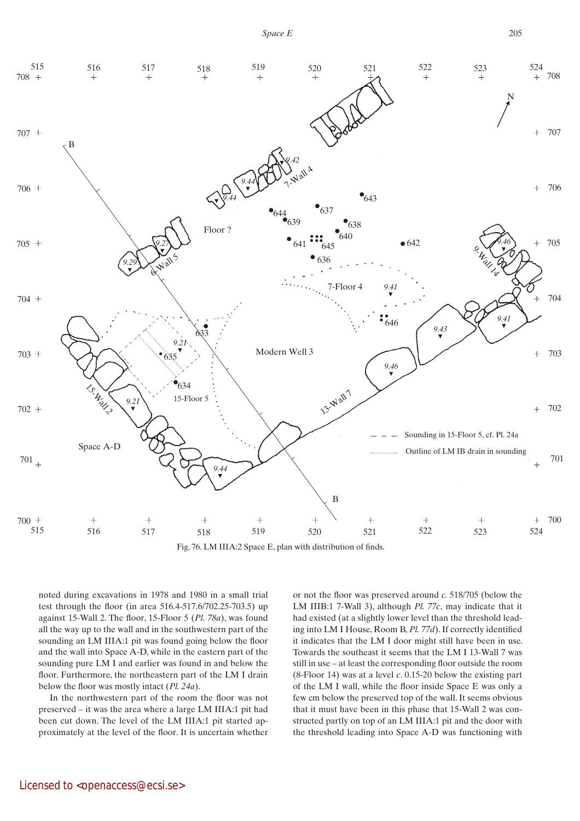*Space E*



Fig. 76. LM IIIA:2 Space E, plan with distribution of finds.

noted during excavations in 1978 and 1980 in a small trial test through the floor (in area 516.4-517.6/702.25-703.5) up against 15-Wall 2. The floor, 15-Floor 5 (*Pl. 78a*), was found all the way up to the wall and in the southwestern part of the sounding an LM IIIA:1 pit was found going below the floor and the wall into Space A-D, while in the eastern part of the sounding pure LM I and earlier was found in and below the floor. Furthermore, the northeastern part of the LM I drain below the floor was mostly intact (*Pl. 24a*).

In the northwestern part of the room the floor was not preserved – it was the area where a large LM IIIA:1 pit had been cut down. The level of the LM IIIA:1 pit started approximately at the level of the floor. It is uncertain whether or not the floor was preserved around *c.* 518/705 (below the LM IIIB:1 7-Wall 3), although *Pl. 77c*, may indicate that it had existed (at a slightly lower level than the threshold leading into LM I House, Room B, *Pl. 77d*). If correctly identified it indicates that the LM I door might still have been in use. Towards the southeast it seems that the LM I 13-Wall 7 was still in use – at least the corresponding floor outside the room (8-Floor 14) was at a level *c*. 0.15-20 below the existing part of the LM I wall, while the floor inside Space E was only a few cm below the preserved top of the wall. It seems obvious that it must have been in this phase that 15-Wall 2 was constructed partly on top of an LM IIIA:1 pit and the door with the threshold leading into Space A-D was functioning with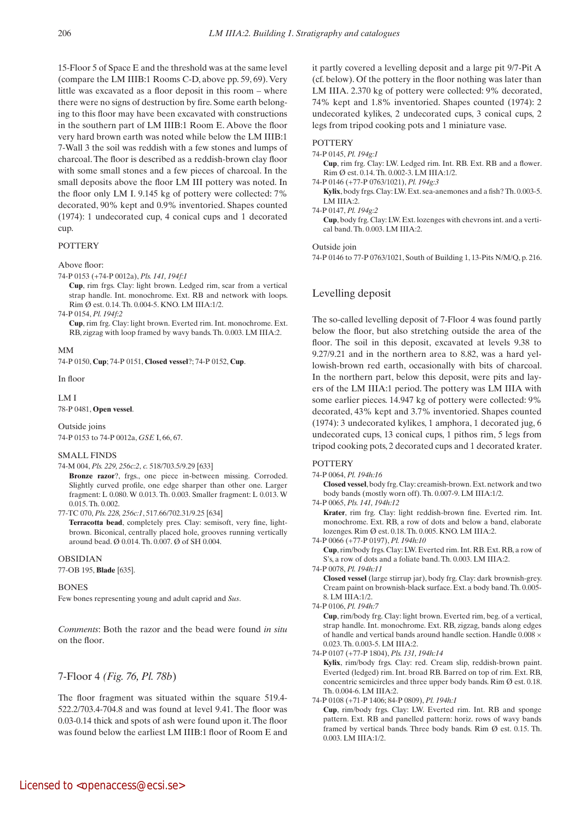15-Floor 5 of Space E and the threshold was at the same level (compare the LM IIIB:1 Rooms C-D, above pp. 59, 69). Very little was excavated as a floor deposit in this room – where there were no signs of destruction by fire. Some earth belonging to this floor may have been excavated with constructions in the southern part of LM IIIB:1 Room E. Above the floor very hard brown earth was noted while below the LM IIIB:1 7-Wall 3 the soil was reddish with a few stones and lumps of charcoal. The floor is described as a reddish-brown clay floor with some small stones and a few pieces of charcoal. In the small deposits above the floor LM III pottery was noted. In the floor only LM I. 9.145 kg of pottery were collected: 7% decorated, 90% kept and 0.9% inventoried. Shapes counted (1974): 1 undecorated cup, 4 conical cups and 1 decorated cup.

# **POTTERY**

Above floor:

74-P 0153 (+74-P 0012a), *Pls. 141, 194f:1*

 **Cup**, rim frgs. Clay: light brown. Ledged rim, scar from a vertical strap handle. Int. monochrome. Ext. RB and network with loops. Rim Ø est. 0.14. Th. 0.004-5. KNO. LM IIIA:1/2.

74-P 0154, *Pl. 194f:2*

**Cup**, rim frg. Clay: light brown. Everted rim. Int. monochrome. Ext. RB, zigzag with loop framed by wavy bands. Th. 0.003. LM IIIA:2.

# MM

74-P 0150, **Cup**; 74-P 0151, **Closed vessel**?; 74-P 0152, **Cup**.

In floor

LM I

78-P 0481, **Open vessel**.

Outside joins 74-P 0153 to 74-P 0012a, *GSE* I, 66, 67.

# SMALL FINDS

74-M 004, *Pls. 229, 256c:2*, *c.* 518/703.5/9.29 [633]

 **Bronze razor**?, frgs., one piece in-between missing. Corroded. Slightly curved profile, one edge sharper than other one. Larger fragment: L 0.080. W 0.013. Th. 0.003. Smaller fragment: L 0.013. W 0.015. Th. 0.002.

77-TC 070, *Pls. 228, 256c:1*, 517.66/702.31/9.25 [634]

 **Terracotta bead**, completely pres. Clay: semisoft, very fine, lightbrown. Biconical, centrally placed hole, grooves running vertically around bead. Ø 0.014. Th. 0.007. Ø of SH 0.004.

# OBSIDIAN

77-OB 195, **Blade** [635].

# **BONES**

Few bones representing young and adult caprid and *Sus*.

*Comments*: Both the razor and the bead were found *in situ* on the floor.

# 7-Floor 4 *(Fig. 76, Pl. 78b*)

The floor fragment was situated within the square 519.4- 522.2/703.4-704.8 and was found at level 9.41. The floor was 0.03-0.14 thick and spots of ash were found upon it. The floor was found below the earliest LM IIIB:1 floor of Room E and it partly covered a levelling deposit and a large pit 9/7-Pit A (cf. below). Of the pottery in the floor nothing was later than LM IIIA. 2.370 kg of pottery were collected: 9% decorated, 74% kept and 1.8% inventoried. Shapes counted (1974): 2 undecorated kylikes, 2 undecorated cups, 3 conical cups, 2 legs from tripod cooking pots and 1 miniature vase.

## **POTTERY**

74-P 0145, *Pl. 194g:1*

 **Cup**, rim frg. Clay: LW. Ledged rim. Int. RB. Ext. RB and a flower. Rim Ø est. 0.14. Th. 0.002-3. LM IIIA:1/2.

74-P 0146 (+77-P 0763/1021), *Pl. 194g:3*

 **Kylix**, body frgs. Clay: LW. Ext. sea-anemones and a fish? Th. 0.003-5. LM IIIA:2.

74-P 0147, *Pl. 194g:2*

 **Cup**, body frg. Clay: LW. Ext. lozenges with chevrons int. and a vertical band. Th. 0.003. LM IIIA:2.

Outside join

74-P 0146 to 77-P 0763/1021, South of Building 1, 13-Pits N/M/Q, p. 216.

# Levelling deposit

The so-called levelling deposit of 7-Floor 4 was found partly below the floor, but also stretching outside the area of the floor. The soil in this deposit, excavated at levels 9.38 to 9.27/9.21 and in the northern area to 8.82, was a hard yellowish-brown red earth, occasionally with bits of charcoal. In the northern part, below this deposit, were pits and layers of the LM IIIA:1 period. The pottery was LM IIIA with some earlier pieces. 14.947 kg of pottery were collected: 9% decorated, 43% kept and 3.7% inventoried. Shapes counted (1974): 3 undecorated kylikes, 1 amphora, 1 decorated jug, 6 undecorated cups, 13 conical cups, 1 pithos rim, 5 legs from tripod cooking pots, 2 decorated cups and 1 decorated krater.

# **POTTERY**

74-P 0064, *Pl. 194h:16*

 **Closed vessel**, body frg. Clay: creamish-brown. Ext. network and two body bands (mostly worn off). Th. 0.007-9. LM IIIA:1/2.

74-P 0065, *Pls. 141, 194h:12*

 **Krater**, rim frg. Clay: light reddish-brown fine. Everted rim. Int. monochrome. Ext. RB, a row of dots and below a band, elaborate lozenges. Rim Ø est. 0.18. Th. 0.005. KNO. LM IIIA:2.

74-P 0066 (+77-P 0197), *Pl. 194h:10*

 **Cup**, rim/body frgs. Clay: LW. Everted rim. Int. RB. Ext. RB, a row of S's, a row of dots and a foliate band. Th. 0.003. LM IIIA:2.

74-P 0078, *Pl. 194h:11*

 **Closed vessel** (large stirrup jar), body frg. Clay: dark brownish-grey. Cream paint on brownish-black surface. Ext. a body band. Th. 0.005- 8. LM IIIA:1/2.

74-P 0106, *Pl. 194h:7*

 **Cup**, rim/body frg. Clay: light brown. Everted rim, beg. of a vertical, strap handle. Int. monochrome. Ext. RB, zigzag, bands along edges of handle and vertical bands around handle section. Handle 0.008  $\times$ 0.023. Th. 0.003-5. LM IIIA:2.

74-P 0107 (+77-P 1804), *Pls. 131, 194h:14*

 **Kylix**, rim/body frgs. Clay: red. Cream slip, reddish-brown paint. Everted (ledged) rim. Int. broad RB. Barred on top of rim. Ext. RB, concentric semicircles and three upper body bands. Rim Ø est. 0.18. Th. 0.004-6. LM IIIA:2.

74-P 0108 (+71-P 1406; 84-P 0809), *Pl. 194h:1*

 **Cup**, rim/body frgs. Clay: LW. Everted rim. Int. RB and sponge pattern. Ext. RB and panelled pattern: horiz. rows of wavy bands framed by vertical bands. Three body bands. Rim Ø est. 0.15. Th. 0.003. LM IIIA:1/2.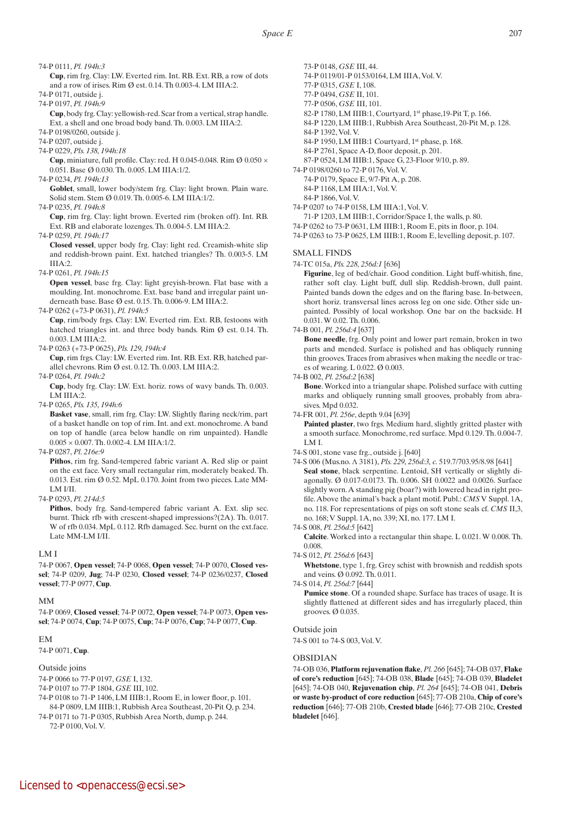74-P 0111, *Pl. 194h:3*

 **Cup**, rim frg. Clay: LW. Everted rim. Int. RB. Ext. RB, a row of dots and a row of irises. Rim Ø est. 0.14. Th 0.003-4. LM IIIA:2.

74-P 0171, outside j.

74-P 0197, *Pl. 194h:9*

 **Cup**, body frg. Clay: yellowish-red. Scar from a vertical, strap handle. Ext. a shell and one broad body band. Th. 0.003. LM IIIA:2.

74-P 0198/0260, outside j.

- 74-P 0207, outside j.
- 74-P 0229, *Pls. 138, 194h:18*

**Cup**, miniature, full profile. Clay: red. H 0.045-0.048. Rim  $\emptyset$  0.050  $\times$ 0.051. Base Ø 0.030. Th. 0.005. LM IIIA:1/2.

74-P 0234, *Pl. 194h:13*

Goblet, small, lower body/stem frg. Clay: light brown. Plain ware. Solid stem. Stem Ø 0.019. Th. 0.005-6. LM IIIA:1/2.

74-P 0235, *Pl. 194h:8*

 **Cup**, rim frg. Clay: light brown. Everted rim (broken off). Int. RB. Ext. RB and elaborate lozenges. Th. 0.004-5. LM IIIA:2.

74-P 0259, *Pl. 194h:17*

 **Closed vessel**, upper body frg. Clay: light red. Creamish-white slip and reddish-brown paint. Ext. hatched triangles? Th. 0.003-5. LM  $IIIA:2$ 

74-P 0261, *Pl. 194h:15*

 **Open vessel**, base frg. Clay: light greyish-brown. Flat base with a moulding. Int. monochrome. Ext. base band and irregular paint underneath base. Base Ø est. 0.15. Th. 0.006-9. LM IIIA:2.

74-P 0262 (+73-P 0631), *Pl. 194h:5*

 **Cup**, rim/body frgs. Clay: LW. Everted rim. Ext. RB, festoons with hatched triangles int. and three body bands. Rim Ø est. 0.14. Th. 0.003. LM IIIA:2.

74-P 0263 (+73-P 0625), *Pls. 129, 194h:4*

 **Cup**, rim frgs. Clay: LW. Everted rim. Int. RB. Ext. RB, hatched parallel chevrons. Rim Ø est. 0.12. Th. 0.003. LM IIIA:2.

74-P 0264, *Pl. 194h:2*

 **Cup**, body frg. Clay: LW. Ext. horiz. rows of wavy bands. Th. 0.003. LM IIIA:2.

74-P 0265, *Pls. 135, 194h:6*

 **Basket vase**, small, rim frg. Clay: LW. Slightly flaring neck/rim, part of a basket handle on top of rim. Int. and ext. monochrome. A band on top of handle (area below handle on rim unpainted). Handle 0.005 × 0.007. Th. 0.002-4. LM IIIA:1/2.

74-P 0287, *Pl. 216e:9*

Pithos, rim frg. Sand-tempered fabric variant A. Red slip or paint on the ext face. Very small rectangular rim, moderately beaked. Th. 0.013. Est. rim Ø 0.52. MpL 0.170. Joint from two pieces. Late MM-LM I/II.

74-P 0293, *Pl. 214d:5*

Pithos, body frg. Sand-tempered fabric variant A. Ext. slip sec. burnt. Thick rfb with crescent-shaped impressions?(2A). Th. 0.017. W of rfb 0.034. MpL 0.112. Rfb damaged. Sec. burnt on the ext.face. Late MM-LM I/II.

## LM I

74-P 0067, **Open vessel**; 74-P 0068, **Open vessel**; 74-P 0070, **Closed vessel**; 74-P 0209, **Jug**; 74-P 0230, **Closed vessel**; 74-P 0236/0237, **Closed vessel**; 77-P 0977, **Cup**.

# MM

74-P 0069, **Closed vessel**; 74-P 0072, **Open vessel**; 74-P 0073, **Open vessel**; 74-P 0074, **Cup**; 74-P 0075, **Cup**; 74-P 0076, **Cup**; 74-P 0077, **Cup**.

# EM

74-P 0071, **Cup**.

## Outside joins

74-P 0066 to 77-P 0197, *GSE* I, 132.

74-P 0107 to 77-P 1804, *GSE* III, 102.

74-P 0108 to 71-P 1406, LM IIIB:1, Room E, in lower floor, p. 101. 84-P 0809, LM IIIB:1, Rubbish Area Southeast, 20-Pit Q, p. 234.

74-P 0171 to 71-P 0305, Rubbish Area North, dump, p. 244. 72-P 0100, Vol. V.

73-P 0148, *GSE* III, 44.

74-P 0119/01-P 0153/0164, LM IIIA, Vol. V.

77-P 0315, *GSE* I, 108.

- 77-P 0494, *GSE* II, 101.
- 77-P 0506, *GSE* III, 101.
- 82-P 1780, LM IIIB:1, Courtyard, 1st phase,19-Pit T, p. 166.
- 84-P 1220, LM IIIB:1, Rubbish Area Southeast, 20-Pit M, p. 128.
- 84-P 1392, Vol. V.

84-P 1950, LM IIIB:1 Courtyard, 1<sup>st</sup> phase, p. 168. 84-P 2761, Space A-D, floor deposit, p. 201.

87-P 0524, LM IIIB:1, Space G, 23-Floor 9/10, p. 89.

74-P 0198/0260 to 72-P 0176, Vol. V.

74-P 0179, Space E, 9/7-Pit A, p. 208. 84-P 1168, LM IIIA:1, Vol. V.

84-P 1866, Vol. V.

74-P 0207 to 74-P 0158, LM IIIA:1, Vol. V.

71-P 1203, LM IIIB:1, Corridor/Space I, the walls, p. 80.

- 74-P 0262 to 73-P 0631, LM IIIB:1, Room E, pits in floor, p. 104.
- 74-P 0263 to 73-P 0625, LM IIIB:1, Room E, levelling deposit, p. 107.

## SMALL FINDS

74-TC 015a, *Pls. 228, 256d:1* [636]

**Figurine**, leg of bed/chair. Good condition. Light buff-whitish, fine, rather soft clay. Light buff, dull slip. Reddish-brown, dull paint. Painted bands down the edges and on the flaring base. In-between, short horiz. transversal lines across leg on one side. Other side unpainted. Possibly of local workshop. One bar on the backside. H 0.031. W 0.02. Th. 0.006.

74-B 001, *Pl. 256d:4* [637]

 **Bone needle**, frg. Only point and lower part remain, broken in two parts and mended. Surface is polished and has obliquely running thin grooves. Traces from abrasives when making the needle or traces of wearing. L 0.022. Ø 0.003.

74-B 002, *Pl. 256d:2* [638]

 **Bone**. Worked into a triangular shape. Polished surface with cutting marks and obliquely running small grooves, probably from abrasives. Mpd 0.032.

74-FR 001, *Pl. 256e*, depth 9.04 [639]

 **Painted plaster**, two frgs. Medium hard, slightly gritted plaster with a smooth surface. Monochrome, red surface. Mpd 0.129. Th. 0.004-7. LM I.

- 74-S 001, stone vase frg., outside j. [640]
- 74-S 006 (Mus.no. Λ 3181), *Pls. 229, 256d:3, c.* 519.7/703.95/8.98 [641] Seal stone, black serpentine. Lentoid, SH vertically or slightly diagonally. Ø 0.017-0.0173. Th. 0.006. SH 0.0022 and 0.0026. Surface slightly worn. A standing pig (boar?) with lowered head in right profile. Above the animal's back a plant motif. Publ.: *CMS* V Suppl. 1A, no. 118. For representations of pigs on soft stone seals cf. *CMS* II,3, no. 168; V Suppl. 1A, no. 339; XI, no. 177. LM I.

74-S 008, *Pl. 256d:5* [642]

 **Calcite**. Worked into a rectangular thin shape. L 0.021. W 0.008. Th. 0.008.

74-S 012, *Pl. 256d:6* [643]

 **Whetstone**, type 1, frg. Grey schist with brownish and reddish spots and veins. Ø 0.092. Th. 0.011.

74-S 014, *Pl. 256d:7* [644]

Pumice stone. Of a rounded shape. Surface has traces of usage. It is slightly flattened at different sides and has irregularly placed, thin grooves. Ø 0.035.

Outside join

74-S 001 to 74-S 003, Vol. V.

## OBSIDIAN

74-OB 036, **Platform rejuvenation flake**, *Pl. 266* [645]; 74-OB 037, **Flake of core's reduction** [645]; 74-OB 038, **Blade** [645]; 74-OB 039, **Bladelet** [645]; 74-OB 040, **Rejuvenation chip**, *Pl. 264* [645]; 74-OB 041, **Debris or waste by-product of core reduction** [645]; 77-OB 210a, **Chip of core's reduction** [646]; 77-OB 210b, **Crested blade** [646]; 77-OB 210c, **Crested bladelet** [646].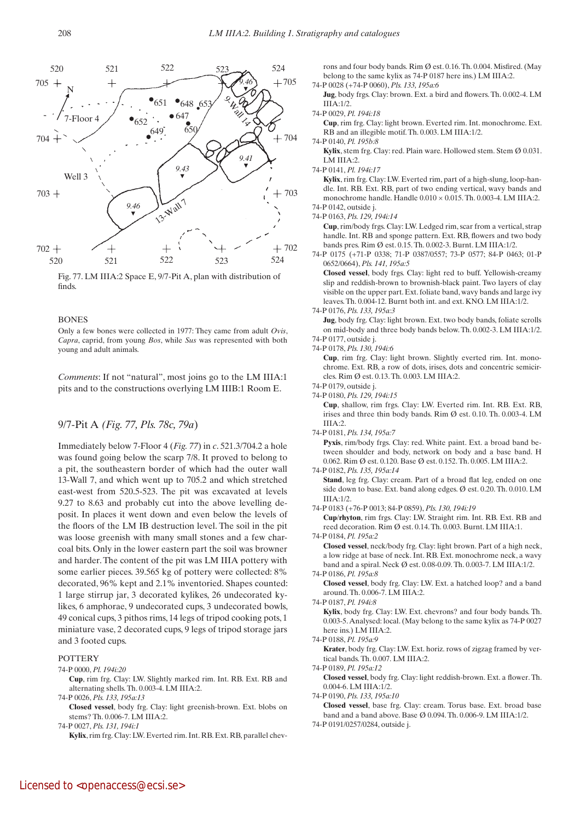

Fig. 77. LM IIIA:2 Space E, 9/7-Pit A, plan with distribution of finds.

#### **BONES**

Only a few bones were collected in 1977: They came from adult *Ovis*, *Capra*, caprid, from young *Bos*, while *Sus* was represented with both young and adult animals.

*Comments*: If not "natural", most joins go to the LM IIIA:1 pits and to the constructions overlying LM IIIB:1 Room E.

# 9/7-Pit A *(Fig. 77, Pls. 78c, 79a*)

Immediately below 7-Floor 4 (*Fig. 77*) in *c*. 521.3/704.2 a hole was found going below the scarp 7/8. It proved to belong to a pit, the southeastern border of which had the outer wall 13-Wall 7, and which went up to 705.2 and which stretched east-west from 520.5-523. The pit was excavated at levels 9.27 to 8.63 and probably cut into the above levelling deposit. In places it went down and even below the levels of the floors of the LM IB destruction level. The soil in the pit was loose greenish with many small stones and a few charcoal bits. Only in the lower eastern part the soil was browner and harder. The content of the pit was LM IIIA pottery with some earlier pieces. 39.565 kg of pottery were collected: 8% decorated, 96% kept and 2.1% inventoried. Shapes counted: 1 large stirrup jar, 3 decorated kylikes, 26 undecorated kylikes, 6 amphorae, 9 undecorated cups, 3 undecorated bowls, 49 conical cups, 3 pithos rims, 14 legs of tripod cooking pots, 1 miniature vase, 2 decorated cups, 9 legs of tripod storage jars and 3 footed cups.

## **POTTERY**

## 74-P 0000, *Pl. 194i:20*

 **Cup**, rim frg. Clay: LW. Slightly marked rim. Int. RB. Ext. RB and alternating shells. Th. 0.003-4. LM IIIA:2.

74-P 0026, *Pls. 133, 195a:13*

 **Closed vessel**, body frg. Clay: light greenish-brown. Ext. blobs on stems? Th. 0.006-7. LM IIIA:2.

74-P 0027, *Pls. 131, 194i:1*

 **Kylix**, rim frg. Clay: LW. Everted rim. Int. RB. Ext. RB, parallel chev-

rons and four body bands. Rim Ø est. 0.16. Th. 0.004. Misfired. (May belong to the same kylix as 74-P 0187 here ins.) LM IIIA:2. 74-P 0028 (+74-P 0060), *Pls. 133, 195a:6*

 **Jug**, body frgs. Clay: brown. Ext. a bird and flowers. Th. 0.002-4. LM IIIA:1/2.

74-P 0029, *Pl. 194i:18*

 **Cup**, rim frg. Clay: light brown. Everted rim. Int. monochrome. Ext. RB and an illegible motif. Th. 0.003. LM IIIA:1/2.

74-P 0140, *Pl. 195b:8*

**Kylix**, stem frg. Clay: red. Plain ware. Hollowed stem. Stem Ø 0.031. LM IIIA:2.

74-P 0141, *Pl. 194i:17*

 **Kylix**, rim frg. Clay: LW. Everted rim, part of a high-slung, loop-handle. Int. RB. Ext. RB, part of two ending vertical, wavy bands and monochrome handle. Handle  $0.010 \times 0.015$ . Th. 0.003-4. LM IIIA:2.

 **Cup**, rim/body frgs. Clay: LW. Ledged rim, scar from a vertical, strap handle. Int. RB and sponge pattern. Ext. RB, flowers and two body bands pres. Rim Ø est. 0.15. Th. 0.002-3. Burnt. LM IIIA:1/2.

74-P 0175 (+71-P 0338; 71-P 0387/0557; 73-P 0577; 84-P 0463; 01-P 0652/0664), *Pls. 141, 195a:5* 

 **Closed vessel**, body frgs. Clay: light red to buff. Yellowish-creamy slip and reddish-brown to brownish-black paint. Two layers of clay visible on the upper part. Ext. foliate band, wavy bands and large ivy leaves. Th. 0.004-12. Burnt both int. and ext. KNO. LM IIIA:1/2.

74-P 0176, *Pls. 133, 195a:3*

**Jug**, body frg. Clay: light brown. Ext. two body bands, foliate scrolls on mid-body and three body bands below. Th. 0.002-3. LM IIIA:1/2. 74-P 0177, outside j.

74-P 0178, *Pls. 130, 194i:6*

 **Cup**, rim frg. Clay: light brown. Slightly everted rim. Int. monochrome. Ext. RB, a row of dots, irises, dots and concentric semicircles. Rim Ø est. 0.13. Th. 0.003. LM IIIA:2.

74-P 0179, outside j. 74-P 0180, *Pls. 129, 194i:15*

 **Cup**, shallow, rim frgs. Clay: LW. Everted rim. Int. RB. Ext. RB, irises and three thin body bands. Rim Ø est. 0.10. Th. 0.003-4. LM IIIA:2.

74-P 0181, *Pls. 134, 195a:7*

Pyxis, rim/body frgs. Clay: red. White paint. Ext. a broad band between shoulder and body, network on body and a base band. H 0.062. Rim Ø est. 0.120. Base Ø est. 0.152. Th. 0.005. LM IIIA:2.

74-P 0182, *Pls. 135, 195a:14*

Stand, leg frg. Clay: cream. Part of a broad flat leg, ended on one side down to base. Ext. band along edges. Ø est. 0.20. Th. 0.010. LM  $IIIA.1/2$ 

74-P 0183 (+76-P 0013; 84-P 0859), *Pls. 130, 194i:19*

 **Cup**/**rhyton**, rim frgs. Clay: LW. Straight rim. Int. RB. Ext. RB and reed decoration. Rim Ø est. 0.14. Th. 0.003. Burnt. LM IIIA:1.

74-P 0184, *Pl. 195a:2*

 **Closed vessel**, neck/body frg. Clay: light brown. Part of a high neck, a low ridge at base of neck. Int. RB. Ext. monochrome neck, a wavy band and a spiral. Neck Ø est. 0.08-0.09. Th. 0.003-7. LM IIIA:1/2. 74-P 0186, *Pl. 195a:8*

 **Closed vessel**, body frg. Clay: LW. Ext. a hatched loop? and a band around. Th. 0.006-7. LM IIIA:2.

 **Kylix**, body frg. Clay: LW. Ext. chevrons? and four body bands. Th. 0.003-5. Analysed: local. (May belong to the same kylix as 74-P 0027 here ins.) LM IIIA:2.

74-P 0188, *Pl. 195a:9*

 **Krater**, body frg. Clay: LW. Ext. horiz. rows of zigzag framed by vertical bands. Th. 0.007. LM IIIA:2.

74-P 0189, *Pl. 195a:12*

 **Closed vessel**, body frg. Clay: light reddish-brown. Ext. a flower. Th. 0.004-6. LM IIIA:1/2.

74-P 0190, *Pls. 133, 195a:10*

- **Closed vessel**, base frg. Clay: cream. Torus base. Ext. broad base band and a band above. Base Ø 0.094. Th. 0.006-9. LM IIIA:1/2.
- 74-P 0191/0257/0284, outside j.

<sup>74-</sup>P 0142, outside j. 74-P 0163, *Pls. 129, 194i:14*

<sup>74-</sup>P 0187, *Pl. 194i:8*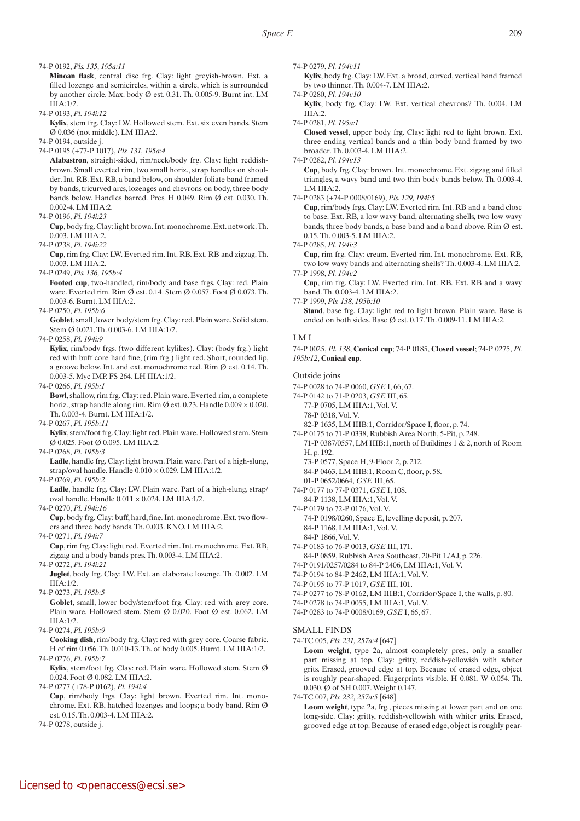74-P 0192, *Pls. 135, 195a:11*

 **Minoan flask**, central disc frg. Clay: light greyish-brown. Ext. a filled lozenge and semicircles, within a circle, which is surrounded by another circle. Max. body Ø est. 0.31. Th. 0.005-9. Burnt int. LM  $IIIA:1/2$ 

74-P 0193, *Pl. 194i:12*

 **Kylix**, stem frg. Clay: LW. Hollowed stem. Ext. six even bands. Stem Ø 0.036 (not middle). LM IIIA:2.

74-P 0194, outside j.

74-P 0195 (+77-P 1017), *Pls. 131, 195a:4*

 **Alabastron**, straight-sided, rim/neck/body frg. Clay: light reddishbrown. Small everted rim, two small horiz., strap handles on shoulder. Int. RB. Ext. RB, a band below, on shoulder foliate band framed by bands, tricurved arcs, lozenges and chevrons on body, three body bands below. Handles barred. Pres. H 0.049. Rim Ø est. 0.030. Th. 0.002-4. LM IIIA:2.

74-P 0196, *Pl. 194i:23*

 **Cup**, body frg. Clay: light brown. Int. monochrome. Ext. network. Th. 0.003. LM IIIA:2.

74-P 0238, *Pl. 194i:22*

 **Cup**, rim frg. Clay: LW. Everted rim. Int. RB. Ext. RB and zigzag. Th. 0.003. LM IIIA:2.

74-P 0249, *Pls. 136, 195b:4*

 **Footed cup**, two-handled, rim/body and base frgs. Clay: red. Plain ware. Everted rim. Rim Ø est. 0.14. Stem Ø 0.057. Foot Ø 0.073. Th. 0.003-6. Burnt. LM IIIA:2.

74-P 0250, *Pl. 195b:6*

 **Goblet**, small, lower body/stem frg. Clay: red. Plain ware. Solid stem. Stem Ø 0.021. Th. 0.003-6. LM IIIA:1/2.

74-P 0258, *Pl. 194i:9*

 **Kylix**, rim/body frgs. (two different kylikes). Clay: (body frg.) light red with buff core hard fine, (rim frg.) light red. Short, rounded lip, a groove below. Int. and ext. monochrome red. Rim Ø est. 0.14. Th. 0.003-5. Myc IMP. FS 264. LH IIIA:1/2.

74-P 0266, *Pl. 195b:1*

 **Bowl**, shallow, rim frg. Clay: red. Plain ware. Everted rim, a complete horiz., strap handle along rim. Rim  $\varnothing$  est. 0.23. Handle 0.009  $\times$  0.020. Th. 0.003-4. Burnt. LM IIIA:1/2.

74-P 0267, *Pl. 195b:11*

 **Kylix**, stem/foot frg. Clay: light red. Plain ware. Hollowed stem. Stem Ø 0.025. Foot Ø 0.095. LM IIIA:2.

74-P 0268, *Pl. 195b:3*

Ladle, handle frg. Clay: light brown. Plain ware. Part of a high-slung, strap/oval handle. Handle 0.010 × 0.029. LM IIIA:1/2.

74-P 0269, *Pl. 195b:2*

Ladle, handle frg. Clay: LW. Plain ware. Part of a high-slung, strap/ oval handle. Handle  $0.011 \times 0.024$ . LM IIIA:1/2.

74-P 0270, *Pl. 194i:16*

 **Cup**, body frg. Clay: buff, hard, fine. Int. monochrome. Ext. two flowers and three body bands. Th. 0.003. KNO. LM IIIA:2.

74-P 0271, *Pl. 194i:7*

 **Cup**, rim frg. Clay: light red. Everted rim. Int. monochrome. Ext. RB, zigzag and a body bands pres. Th. 0.003-4. LM IIIA:2.

74-P 0272, *Pl. 194i:21*

 **Juglet**, body frg. Clay: LW. Ext. an elaborate lozenge. Th. 0.002. LM IIIA:1/2.

74-P 0273, *Pl. 195b:5*

Goblet, small, lower body/stem/foot frg. Clay: red with grey core. Plain ware. Hollowed stem. Stem  $\emptyset$  0.020. Foot  $\emptyset$  est. 0.062. LM IIIA:1/2.

74-P 0274, *Pl. 195b:9*

 **Cooking dish**, rim/body frg. Clay: red with grey core. Coarse fabric. H of rim 0.056. Th. 0.010-13. Th. of body 0.005. Burnt. LM IIIA:1/2. 74-P 0276, *Pl. 195b:7*

**Kylix**, stem/foot frg. Clay: red. Plain ware. Hollowed stem. Stem Ø 0.024. Foot Ø 0.082. LM IIIA:2.

74-P 0277 (+78-P 0162), *Pl. 194i:4*

 **Cup**, rim/body frgs. Clay: light brown. Everted rim. Int. monochrome. Ext. RB, hatched lozenges and loops; a body band. Rim Ø est. 0.15. Th. 0.003-4. LM IIIA:2.

74-P 0278, outside j.

74-P 0279, *Pl. 194i:11*

 **Kylix**, body frg. Clay: LW. Ext. a broad, curved, vertical band framed by two thinner. Th. 0.004-7. LM IIIA:2.

74-P 0280, *Pl. 194i:10*

 **Kylix**, body frg. Clay: LW. Ext. vertical chevrons? Th. 0.004. LM IIIA:2.

74-P 0281, *Pl. 195a:1*

 **Closed vessel**, upper body frg. Clay: light red to light brown. Ext. three ending vertical bands and a thin body band framed by two broader. Th. 0.003-4. LM IIIA:2.

74-P 0282, *Pl. 194i:13*

 **Cup**, body frg. Clay: brown. Int. monochrome. Ext. zigzag and filled triangles, a wavy band and two thin body bands below. Th. 0.003-4. LM IIIA:2.

74-P 0283 (+74-P 0008/0169), *Pls. 129, 194i:5*

 **Cup**, rim/body frgs. Clay: LW. Everted rim. Int. RB and a band close to base. Ext. RB, a low wavy band, alternating shells, two low wavy bands, three body bands, a base band and a band above. Rim Ø est. 0.15. Th. 0.003-5. LM IIIA:2.

74-P 0285, *Pl. 194i:3*

 **Cup**, rim frg. Clay: cream. Everted rim. Int. monochrome. Ext. RB, two low wavy bands and alternating shells? Th. 0.003-4. LM IIIA:2. 77-P 1998, *Pl. 194i:2*

 **Cup**, rim frg. Clay: LW. Everted rim. Int. RB. Ext. RB and a wavy band. Th. 0.003-4. LM IIIA:2.

77-P 1999, *Pls. 138, 195b:10*

Stand, base frg. Clay: light red to light brown. Plain ware. Base is ended on both sides. Base Ø est. 0.17. Th. 0.009-11. LM IIIA:2.

## LM I

74-P 0025, *Pl. 138*, **Conical cup**; 74-P 0185, **Closed vessel**; 74-P 0275, *Pl. 195b:12*, **Conical cup**.

## Outside joins

- 74-P 0028 to 74-P 0060, *GSE* I, 66, 67.
- 74-P 0142 to 71-P 0203, *GSE* III, 65.
	- 77-P 0705, LM IIIA:1, Vol. V.
	- 78-P 0318, Vol. V.
	- 82-P 1635, LM IIIB:1, Corridor/Space I, floor, p. 74.
- 74-P 0175 to 71-P 0338, Rubbish Area North, 5-Pit, p. 248.
	- 71-P 0387/0557, LM IIIB:1, north of Buildings 1 & 2, north of Room H, p. 192.
	- 73-P 0577, Space H, 9-Floor 2, p. 212.
	- 84-P 0463, LM IIIB:1, Room C, floor, p. 58.
	- 01-P 0652/0664, *GSE* III, 65.
- 74-P 0177 to 77-P 0371, *GSE* I, 108. 84-P 1138, LM IIIA:1, Vol. V.

74-P 0179 to 72-P 0176, Vol. V.

- 74-P 0198/0260, Space E, levelling deposit, p. 207. 84-P 1168, LM IIIA:1, Vol. V.
- 84-P 1866, Vol. V.
- 74-P 0183 to 76-P 0013, *GSE* III, 171.

84-P 0859, Rubbish Area Southeast, 20-Pit L/AJ, p. 226.

- 74-P 0191/0257/0284 to 84-P 2406, LM IIIA:1, Vol. V.
- 74-P 0194 to 84-P 2462, LM IIIA:1, Vol. V.
- 74-P 0195 to 77-P 1017, *GSE* III, 101.

74-P 0277 to 78-P 0162, LM IIIB:1, Corridor/Space I, the walls, p. 80.

- 74-P 0278 to 74-P 0055, LM IIIA:1, Vol. V.
- 74-P 0283 to 74-P 0008/0169, *GSE* I, 66, 67.

## SMALL FINDS

74-TC 005, *Pls. 231, 257a:4* [647]

 **Loom weight**, type 2a, almost completely pres., only a smaller part missing at top. Clay: gritty, reddish-yellowish with whiter grits. Erased, grooved edge at top. Because of erased edge, object is roughly pear-shaped. Fingerprints visible. H 0.081. W 0.054. Th. 0.030. Ø of SH 0.007. Weight 0.147.

74-TC 007, *Pls. 232, 257a:5* [648]

 **Loom weight**, type 2a, frg., pieces missing at lower part and on one long-side. Clay: gritty, reddish-yellowish with whiter grits. Erased, grooved edge at top. Because of erased edge, object is roughly pear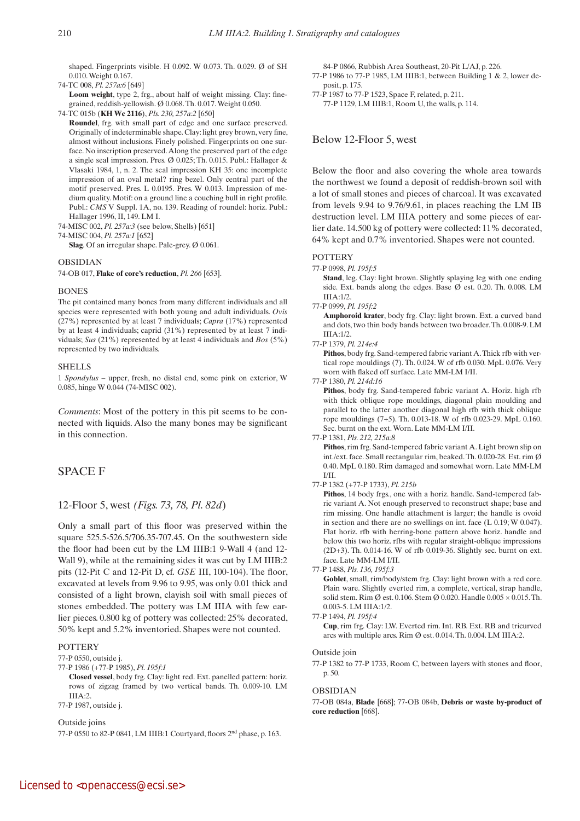shaped. Fingerprints visible. H  $0.092$ . W  $0.073$ . Th.  $0.029$ . Ø of SH 0.010. Weight 0.167.

74-TC 008, *Pl. 257a:6* [649]

Loom weight, type 2, frg., about half of weight missing. Clay: finegrained, reddish-yellowish. Ø 0.068. Th. 0.017. Weight 0.050.

74-TC 015b (**KH Wc 2116**), *Pls. 230, 257a:2* [650]

 **Roundel**, frg. with small part of edge and one surface preserved. Originally of indeterminable shape. Clay: light grey brown, very fine, almost without inclusions. Finely polished. Fingerprints on one surface. No inscription preserved. Along the preserved part of the edge a single seal impression. Pres. Ø 0.025; Th. 0.015. Publ.: Hallager & Vlasaki 1984, 1, n. 2. The seal impression KH 35: one incomplete impression of an oval metal? ring bezel. Only central part of the motif preserved. Pres. L 0.0195. Pres. W 0.013. Impression of medium quality. Motif: on a ground line a couching bull in right profile. Publ.: *CMS* V Suppl. 1A, no. 139. Reading of roundel: horiz. Publ.: Hallager 1996, II, 149. LM I.

74-MISC 002, *Pl. 257a:3* (see below, Shells) [651]

74-MISC 004, *Pl. 257a:1* [652]

Slag. Of an irregular shape. Pale-grey. Ø 0.061.

#### OBSIDIAN

74-OB 017, **Flake of core's reduction**, *Pl. 266* [653].

#### **BONES**

The pit contained many bones from many different individuals and all species were represented with both young and adult individuals. *Ovis* (27%) represented by at least 7 individuals; *Capra* (17%) represented by at least 4 individuals; caprid (31%) represented by at least 7 individuals; *Sus* (21%) represented by at least 4 individuals and *Bos* (5%) represented by two individuals.

#### SHELLS

1 *Spondylus* – upper, fresh, no distal end, some pink on exterior, W 0.085, hinge W 0.044 (74-MISC 002).

*Comments*: Most of the pottery in this pit seems to be connected with liquids. Also the many bones may be significant in this connection.

# SPACE F

# 12-Floor 5, west *(Figs. 73, 78, Pl. 82d*)

Only a small part of this floor was preserved within the square 525.5-526.5/706.35-707.45. On the southwestern side the floor had been cut by the LM IIIB:1 9-Wall 4 (and 12- Wall 9), while at the remaining sides it was cut by LM IIIB:2 pits (12-Pit C and 12-Pit D, cf. *GSE* III, 100-104). The floor, excavated at levels from 9.96 to 9.95, was only 0.01 thick and consisted of a light brown, clayish soil with small pieces of stones embedded. The pottery was LM IIIA with few earlier pieces. 0.800 kg of pottery was collected: 25% decorated, 50% kept and 5.2% inventoried. Shapes were not counted.

## **POTTERY**

77-P 0550, outside j.

77-P 1986 (+77-P 1985), *Pl. 195f:1*

 **Closed vessel**, body frg. Clay: light red. Ext. panelled pattern: horiz. rows of zigzag framed by two vertical bands. Th. 0.009-10. LM  $IIIA:2$ .

77-P 1987, outside j.

## Outside joins

77-P 0550 to 82-P 0841, LM IIIB:1 Courtyard, floors 2nd phase, p. 163.

84-P 0866, Rubbish Area Southeast, 20-Pit L/AJ, p. 226.

- 77-P 1986 to 77-P 1985, LM IIIB:1, between Building 1 & 2, lower deposit, p. 175.
- 77-P 1987 to 77-P 1523, Space F, related, p. 211.

77-P 1129, LM IIIB:1, Room U, the walls, p. 114.

## Below 12-Floor 5, west

Below the floor and also covering the whole area towards the northwest we found a deposit of reddish-brown soil with a lot of small stones and pieces of charcoal. It was excavated from levels 9.94 to 9.76/9.61, in places reaching the LM IB destruction level. LM IIIA pottery and some pieces of earlier date. 14.500 kg of pottery were collected: 11% decorated, 64% kept and 0.7% inventoried. Shapes were not counted.

# POTTERY

77-P 0998, *Pl. 195f:5*

Stand, leg. Clay: light brown. Slightly splaying leg with one ending side. Ext. bands along the edges. Base Ø est. 0.20. Th. 0.008. LM IIIA:1/2.

77-P 0999, *Pl. 195f:2*

 **Amphoroid krater**, body frg. Clay: light brown. Ext. a curved band and dots, two thin body bands between two broader. Th. 0.008-9. LM IIIA:1/2.

77-P 1379, *Pl. 214e:4*

 **Pithos**, body frg. Sand-tempered fabric variant A. Thick rfb with vertical rope mouldings (7). Th. 0.024. W of rfb 0.030. MpL 0.076. Very worn with flaked off surface. Late MM-LM I/II.

77-P 1380, *Pl. 214d:16*

 **Pithos**, body frg. Sand-tempered fabric variant A. Horiz. high rfb with thick oblique rope mouldings, diagonal plain moulding and parallel to the latter another diagonal high rfb with thick oblique rope mouldings (7+5). Th. 0.013-18. W of rfb 0.023-29. MpL 0.160. Sec. burnt on the ext. Worn. Late MM-LM I/II.

#### 77-P 1381, *Pls. 212, 215a:8*

 **Pithos**, rim frg. Sand-tempered fabric variant A. Light brown slip on int./ext. face. Small rectangular rim, beaked. Th. 0.020-28. Est. rim Ø 0.40. MpL 0.180. Rim damaged and somewhat worn. Late MM-LM I/II.

## 77-P 1382 (+77-P 1733), *Pl. 215b*

Pithos, 14 body frgs., one with a horiz. handle. Sand-tempered fabric variant A. Not enough preserved to reconstruct shape; base and rim missing. One handle attachment is larger; the handle is ovoid in section and there are no swellings on int. face (L 0.19; W 0.047). Flat horiz. rfb with herring-bone pattern above horiz. handle and below this two horiz. rfbs with regular straight-oblique impressions (2D+3). Th. 0.014-16. W of rfb 0.019-36. Slightly sec. burnt on ext. face. Late MM-LM I/II.

## 77-P 1488, *Pls. 136, 195f:3*

Goblet, small, rim/body/stem frg. Clay: light brown with a red core. Plain ware. Slightly everted rim, a complete, vertical, strap handle, solid stem. Rim Ø est. 0.106. Stem Ø 0.020. Handle  $0.005 \times 0.015$ . Th. 0.003-5. LM IIIA:1/2.

 **Cup**, rim frg. Clay: LW. Everted rim. Int. RB. Ext. RB and tricurved arcs with multiple arcs. Rim Ø est. 0.014. Th. 0.004. LM IIIA:2.

#### Outside join

77-P 1382 to 77-P 1733, Room C, between layers with stones and floor, p. 50.

#### OBSIDIAN

77-OB 084a, **Blade** [668]; 77-OB 084b, **Debris or waste by-product of core reduction** [668].

<sup>77-</sup>P 1494, *Pl. 195f:4*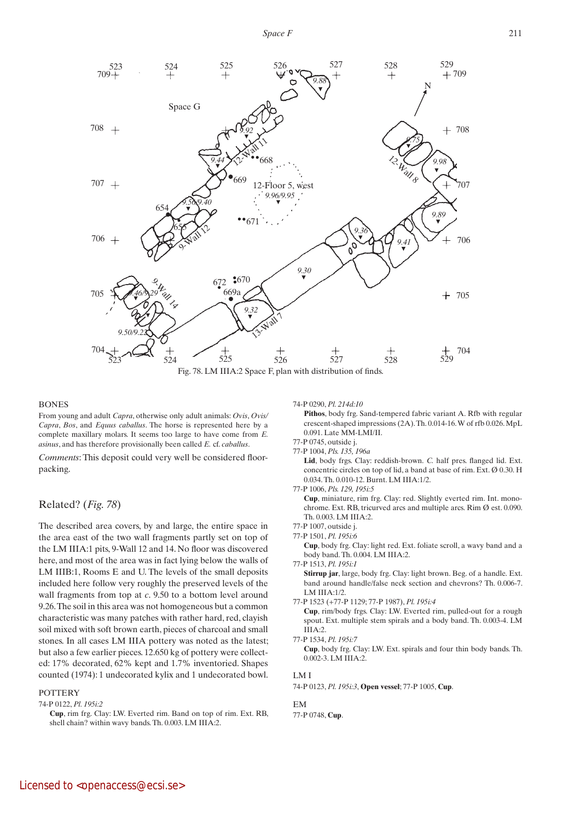

## **BONES**

From young and adult *Capra*, otherwise only adult animals: *Ovis*, *Ovis/ Capra*, *Bos*, and *Equus caballus*. The horse is represented here by a complete maxillary molars. It seems too large to have come from *E. asinus*, and has therefore provisionally been called *E.* cf. *caballus*.

*Comments*: This deposit could very well be considered floorpacking.

# Related? (*Fig. 78*)

The described area covers, by and large, the entire space in the area east of the two wall fragments partly set on top of the LM IIIA:1 pits, 9-Wall 12 and 14. No floor was discovered here, and most of the area was in fact lying below the walls of LM IIIB:1, Rooms E and U. The levels of the small deposits included here follow very roughly the preserved levels of the wall fragments from top at *c*. 9.50 to a bottom level around 9.26. The soil in this area was not homogeneous but a common characteristic was many patches with rather hard, red, clayish soil mixed with soft brown earth, pieces of charcoal and small stones. In all cases LM IIIA pottery was noted as the latest; but also a few earlier pieces. 12.650 kg of pottery were collected: 17% decorated, 62% kept and 1.7% inventoried. Shapes counted (1974): 1 undecorated kylix and 1 undecorated bowl.

## **POTTERY**

74-P 0122, *Pl. 195i:2*

74-P 0290, *Pl. 214d:10*

Pithos, body frg. Sand-tempered fabric variant A. Rfb with regular crescent-shaped impressions (2A). Th. 0.014-16. W of rfb 0.026. MpL 0.091. Late MM-LMI/II.

77-P 0745, outside j. 77-P 1004, *Pls. 135, 196a*

 **Lid**, body frgs. Clay: reddish-brown. *C.* half pres. flanged lid. Ext. concentric circles on top of lid, a band at base of rim. Ext. Ø 0.30. H 0.034. Th. 0.010-12. Burnt. LM IIIA:1/2.

77-P 1006, *Pls. 129, 195i:5*

 **Cup**, miniature, rim frg. Clay: red. Slightly everted rim. Int. monochrome. Ext. RB, tricurved arcs and multiple arcs. Rim Ø est. 0.090. Th. 0.003. LM IIIA:2.

- 77-P 1007, outside j.
- 77-P 1501, *Pl. 195i:6*

 **Cup**, body frg. Clay: light red. Ext. foliate scroll, a wavy band and a body band. Th. 0.004. LM IIIA:2.

77-P 1513, *Pl. 195i:1*

 **Stirrup jar**, large, body frg. Clay: light brown. Beg. of a handle. Ext. band around handle/false neck section and chevrons? Th. 0.006-7. LM IIIA:1/2.

77-P 1523 (+77-P 1129; 77-P 1987), *Pl. 195i:4*

 **Cup**, rim/body frgs. Clay: LW. Everted rim, pulled-out for a rough spout. Ext. multiple stem spirals and a body band. Th. 0.003-4. LM  $IIIA:2$ 

77-P 1534, *Pl. 195i:7*

 **Cup**, body frg. Clay: LW. Ext. spirals and four thin body bands. Th. 0.002-3. LM IIIA:2.

# LM I

74-P 0123, *Pl. 195i:3*, **Open vessel**; 77-P 1005, **Cup**.

EM 77-P 0748, **Cup**.

**Cup**, rim frg. Clay: LW. Everted rim. Band on top of rim. Ext. RB, shell chain? within wavy bands. Th. 0.003. LM IIIA:2.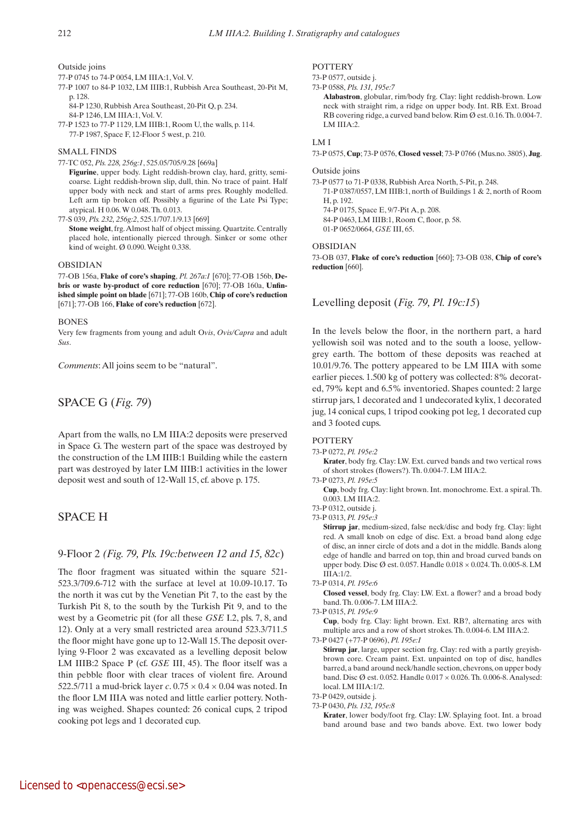## Outside joins

- 77-P 0745 to 74-P 0054, LM IIIA:1, Vol. V.
- 77-P 1007 to 84-P 1032, LM IIIB:1, Rubbish Area Southeast, 20-Pit M, p. 128.
	- 84-P 1230, Rubbish Area Southeast, 20-Pit Q, p. 234.
	- 84-P 1246, LM IIIA:1, Vol. V.
- 77-P 1523 to 77-P 1129, LM IIIB:1, Room U, the walls, p. 114. 77-P 1987, Space F, 12-Floor 5 west, p. 210.

## SMALL FINDS

77-TC 052, *Pls. 228, 256g:1*, 525.05/705/9.28 [669a]

 **Figurine**, upper body. Light reddish-brown clay, hard, gritty, semicoarse. Light reddish-brown slip, dull, thin. No trace of paint. Half upper body with neck and start of arms pres. Roughly modelled. Left arm tip broken off. Possibly a figurine of the Late Psi Type; atypical. H 0.06. W 0.048. Th. 0.013.

77-S 039, *Pls. 232, 256g:2*, 525.1/707.1/9.13 [669]

 **Stone weight**, frg. Almost half of object missing. Quartzite. Centrally placed hole, intentionally pierced through. Sinker or some other kind of weight. Ø 0.090. Weight 0.338.

## OBSIDIAN

77-OB 156a, **Flake of core's shaping**, *Pl. 267a:1* [670]; 77-OB 156b, **Debris or waste by-product of core reduction** [670]; 77-OB 160a, **Unfinished simple point on blade** [671]; 77-OB 160b, **Chip of core's reduction** [671]; 77-OB 166, **Flake of core's reduction** [672].

## BONES

Very few fragments from young and adult O*vis*, *Ovis/Capra* and adult *Sus*.

*Comments*: All joins seem to be "natural".

# SPACE G (*Fig. 79*)

Apart from the walls, no LM IIIA:2 deposits were preserved in Space G. The western part of the space was destroyed by the construction of the LM IIIB:1 Building while the eastern part was destroyed by later LM IIIB:1 activities in the lower deposit west and south of 12-Wall 15, cf. above p. 175.

# SPACE H

# 9-Floor 2 *(Fig. 79, Pls. 19c:between 12 and 15, 82c*)

The floor fragment was situated within the square 521-523.3/709.6-712 with the surface at level at 10.09-10.17. To the north it was cut by the Venetian Pit 7, to the east by the Turkish Pit 8, to the south by the Turkish Pit 9, and to the west by a Geometric pit (for all these *GSE* I.2, pls. 7, 8, and 12). Only at a very small restricted area around 523.3/711.5 the floor might have gone up to 12-Wall 15. The deposit overlying 9-Floor 2 was excavated as a levelling deposit below LM IIIB:2 Space P (cf. *GSE* III, 45). The floor itself was a thin pebble floor with clear traces of violent fire. Around 522.5/711 a mud-brick layer  $c$ .  $0.75 \times 0.4 \times 0.04$  was noted. In the floor LM IIIA was noted and little earlier pottery. Nothing was weighed. Shapes counted: 26 conical cups, 2 tripod cooking pot legs and 1 decorated cup.

## **POTTERY**

73-P 0577, outside j.

```
73-P 0588, Pls. 131, 195e:7
```
 **Alabastron**, globular, rim/body frg. Clay: light reddish-brown. Low neck with straight rim, a ridge on upper body. Int. RB. Ext. Broad RB covering ridge, a curved band below. Rim Ø est. 0.16. Th. 0.004-7. LM IIIA:2.

## LM I

73-P 0575, **Cup**; 73-P 0576, **Closed vessel**; 73-P 0766 (Mus.no. 3805), **Jug**.

#### Outside joins

73-P 0577 to 71-P 0338, Rubbish Area North, 5-Pit, p. 248.

71-P 0387/0557, LM IIIB:1, north of Buildings 1 & 2, north of Room H, p. 192.

74-P 0175, Space E, 9/7-Pit A, p. 208.

84-P 0463, LM IIIB:1, Room C, floor, p. 58.

01-P 0652/0664, *GSE* III, 65.

## OBSIDIAN

73-OB 037, **Flake of core's reduction** [660]; 73-OB 038, **Chip of core's reduction** [660].

# Levelling deposit (*Fig. 79, Pl. 19c:15*)

In the levels below the floor, in the northern part, a hard yellowish soil was noted and to the south a loose, yellowgrey earth. The bottom of these deposits was reached at 10.01/9.76. The pottery appeared to be LM IIIA with some earlier pieces. 1.500 kg of pottery was collected: 8% decorated, 79% kept and 6.5% inventoried. Shapes counted: 2 large stirrup jars, 1 decorated and 1 undecorated kylix, 1 decorated jug, 14 conical cups, 1 tripod cooking pot leg, 1 decorated cup and 3 footed cups.

## **POTTERY**

## 73-P 0272, *Pl. 195e:2*

 **Krater**, body frg. Clay: LW. Ext. curved bands and two vertical rows of short strokes (flowers?). Th. 0.004-7. LM IIIA:2.

73-P 0273, *Pl. 195e:5*

 **Cup**, body frg. Clay: light brown. Int. monochrome. Ext. a spiral. Th. 0.003. LM IIIA:2.

73-P 0312, outside j.

73-P 0313, *Pl. 195e:3*

 **Stirrup jar**, medium-sized, false neck/disc and body frg. Clay: light red. A small knob on edge of disc. Ext. a broad band along edge of disc, an inner circle of dots and a dot in the middle. Bands along edge of handle and barred on top, thin and broad curved bands on upper body. Disc Ø est. 0.057. Handle 0.018 × 0.024. Th. 0.005-8. LM IIIA:1/2.

73-P 0314, *Pl. 195e:6*

 **Closed vessel**, body frg. Clay: LW. Ext. a flower? and a broad body band. Th. 0.006-7. LM IIIA:2.

73-P 0315, *Pl. 195e:9*  **Cup**, body frg. Clay: light brown. Ext. RB?, alternating arcs with multiple arcs and a row of short strokes. Th. 0.004-6. LM IIIA:2.

73-P 0427 (+77-P 0696), *Pl. 195e:1*

 **Stirrup jar**, large, upper section frg. Clay: red with a partly greyishbrown core. Cream paint. Ext. unpainted on top of disc, handles barred, a band around neck/handle section, chevrons, on upper body band. Disc Ø est. 0.052. Handle 0.017 × 0.026. Th. 0.006-8. Analysed: local. LM IIIA:1/2.

- 73-P 0429, outside j.
- 73-P 0430, *Pls. 132, 195e:8*

 **Krater**, lower body/foot frg. Clay: LW. Splaying foot. Int. a broad band around base and two bands above. Ext. two lower body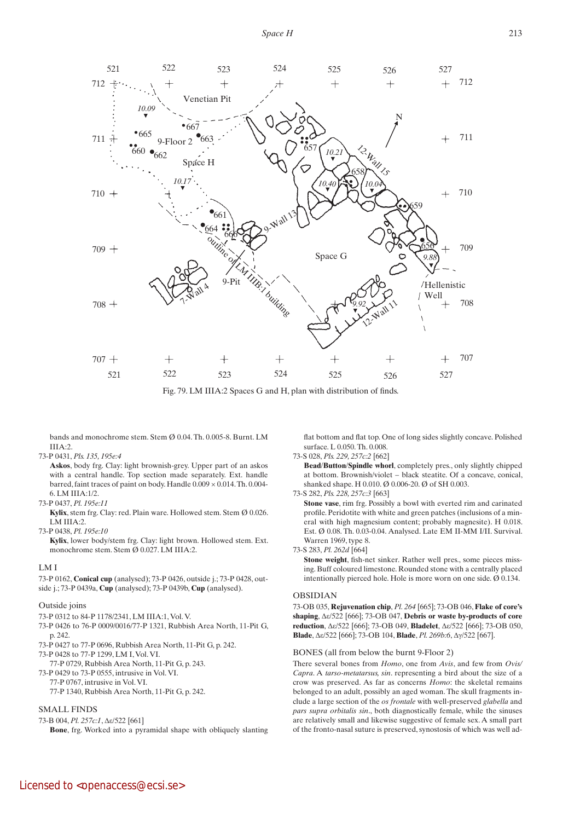

Fig. 79. LM IIIA:2 Spaces G and H, plan with distribution of finds.

bands and monochrome stem. Stem Ø 0.04. Th. 0.005-8. Burnt. LM  $IIIA:2$ 

#### 73-P 0431, *Pls. 135, 195e:4*

 **Askos**, body frg. Clay: light brownish-grey. Upper part of an askos with a central handle. Top section made separately. Ext. handle barred, faint traces of paint on body. Handle 0.009 × 0.014. Th. 0.004- 6. LM IIIA:1/2.

#### 73-P 0437, *Pl. 195e:11*

 **Kylix**, stem frg. Clay: red. Plain ware. Hollowed stem. Stem Ø 0.026. LM IIIA:2.

73-P 0438, *Pl. 195e:10*

 **Kylix**, lower body/stem frg. Clay: light brown. Hollowed stem. Ext. monochrome stem. Stem Ø 0.027. LM IIIA:2.

#### LM I

73-P 0162, **Conical cup** (analysed); 73-P 0426, outside j.; 73-P 0428, outside j.; 73-P 0439a, **Cup** (analysed); 73-P 0439b, **Cup** (analysed).

#### Outside joins

- 73-P 0312 to 84-P 1178/2341, LM IIIA:1, Vol. V.
- 73-P 0426 to 76-P 0009/0016/77-P 1321, Rubbish Area North, 11-Pit G, p. 242.
- 73-P 0427 to 77-P 0696, Rubbish Area North, 11-Pit G, p. 242. 73-P 0428 to 77-P 1299, LM I, Vol. VI.
- 77-P 0729, Rubbish Area North, 11-Pit G, p. 243.
- 73-P 0429 to 73-P 0555, intrusive in Vol. VI.
- 77-P 0767, intrusive in Vol. VI.
	- 77-P 1340, Rubbish Area North, 11-Pit G, p. 242.

## SMALL FINDS

73-B 004, *Pl. 257c:1*, Δε/522 [661]

 **Bone**, frg. Worked into a pyramidal shape with obliquely slanting

flat bottom and flat top. One of long sides slightly concave. Polished surface. L 0.050. Th. 0.008.

#### 73-S 028, *Pls. 229, 257c:2* [662]

**Bead/Button/Spindle** whorl, completely pres., only slightly chipped at bottom. Brownish/violet – black steatite. Of a concave, conical, shanked shape. H 0.010. Ø 0.006-20. Ø of SH 0.003.

73-S 282, *Pls. 228, 257c:3* [663]

 **Stone vase**, rim frg. Possibly a bowl with everted rim and carinated profile. Peridotite with white and green patches (inclusions of a mineral with high magnesium content; probably magnesite). H 0.018. Est. Ø 0.08. Th. 0.03-0.04. Analysed. Late EM II-MM I/II. Survival. Warren 1969, type 8.

73-S 283, *Pl. 262d* [664]

Stone weight, fish-net sinker. Rather well pres., some pieces missing. Buff coloured limestone. Rounded stone with a centrally placed intentionally pierced hole. Hole is more worn on one side. Ø 0.134.

#### OBSIDIAN

73-OB 035, **Rejuvenation chip**, *Pl. 264* [665]; 73-OB 046, **Flake of core's shaping**, Δε/522 [666]; 73-OB 047, **Debris or waste by-products of core reduction**, Δε/522 [666]; 73-OB 049, **Bladelet**, Δε/522 [666]; 73-OB 050, **Blade**, Δε/522 [666]; 73-OB 104, **Blade**, *Pl. 269b:6*, Δγ/522 [667].

#### BONES (all from below the burnt 9-Floor 2)

There several bones from *Homo*, one from *Avis*, and few from *Ovis/ Capra*. A *tarso-metatarsus, sin*. representing a bird about the size of a crow was preserved. As far as concerns *Homo*: the skeletal remains belonged to an adult, possibly an aged woman. The skull fragments include a large section of the *os frontale* with well-preserved *glabella* and *pars supra orbitalis sin*., both diagnostically female, while the sinuses are relatively small and likewise suggestive of female sex. A small part of the fronto-nasal suture is preserved, synostosis of which was well ad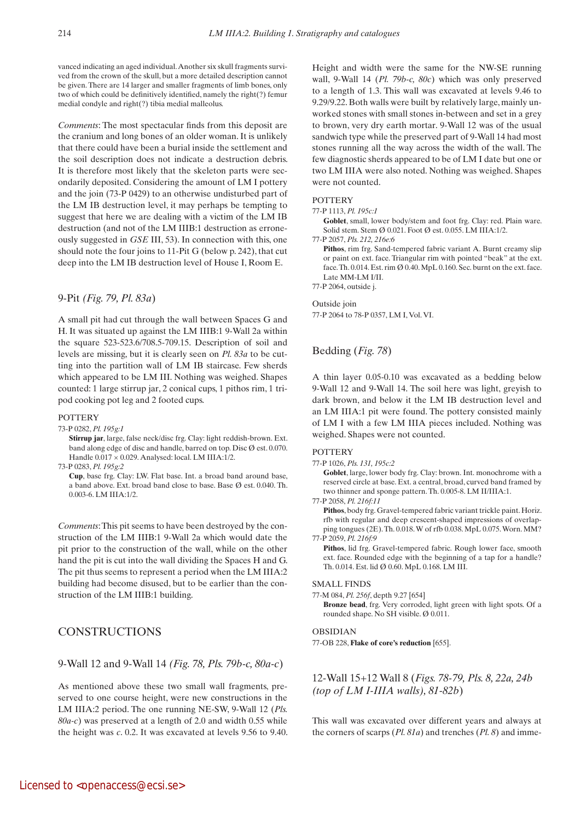vanced indicating an aged individual. Another six skull fragments survived from the crown of the skull, but a more detailed description cannot be given. There are 14 larger and smaller fragments of limb bones, only two of which could be definitively identified, namely the right(?) femur medial condyle and right(?) tibia medial malleolus.

*Comments*: The most spectacular finds from this deposit are the cranium and long bones of an older woman. It is unlikely that there could have been a burial inside the settlement and the soil description does not indicate a destruction debris. It is therefore most likely that the skeleton parts were secondarily deposited. Considering the amount of LM I pottery and the join (73-P 0429) to an otherwise undisturbed part of the LM IB destruction level, it may perhaps be tempting to suggest that here we are dealing with a victim of the LM IB destruction (and not of the LM IIIB:1 destruction as erroneously suggested in *GSE* III, 53). In connection with this, one should note the four joins to 11-Pit G (below p. 242), that cut deep into the LM IB destruction level of House I, Room E.

# 9-Pit *(Fig. 79, Pl. 83a*)

A small pit had cut through the wall between Spaces G and H. It was situated up against the LM IIIB:1 9-Wall 2a within the square 523-523.6/708.5-709.15. Description of soil and levels are missing, but it is clearly seen on *Pl. 83a* to be cutting into the partition wall of LM IB staircase. Few sherds which appeared to be LM III. Nothing was weighed. Shapes counted: 1 large stirrup jar, 2 conical cups, 1 pithos rim, 1 tripod cooking pot leg and 2 footed cups.

## **POTTERY**

73-P 0282, *Pl. 195g:1*

 **Stirrup jar**, large, false neck/disc frg. Clay: light reddish-brown. Ext. band along edge of disc and handle, barred on top. Disc Ø est. 0.070. Handle  $0.017 \times 0.029$ . Analysed: local. LM IIIA:1/2.

73-P 0283, *Pl. 195g:2*

 **Cup**, base frg. Clay: LW. Flat base. Int. a broad band around base, a band above. Ext. broad band close to base. Base Ø est. 0.040. Th. 0.003-6. LM IIIA:1/2.

*Comments*: This pit seems to have been destroyed by the construction of the LM IIIB:1 9-Wall 2a which would date the pit prior to the construction of the wall, while on the other hand the pit is cut into the wall dividing the Spaces H and G. The pit thus seems to represent a period when the LM IIIA:2 building had become disused, but to be earlier than the construction of the LM IIIB:1 building.

# CONSTRUCTIONS

9-Wall 12 and 9-Wall 14 *(Fig. 78, Pls. 79b-c, 80a-c*)

As mentioned above these two small wall fragments, preserved to one course height, were new constructions in the LM IIIA:2 period. The one running NE-SW, 9-Wall 12 (*Pls. 80a-c*) was preserved at a length of 2.0 and width 0.55 while the height was *c*. 0.2. It was excavated at levels 9.56 to 9.40. Height and width were the same for the NW-SE running wall, 9-Wall 14 (*Pl. 79b-c, 80c*) which was only preserved to a length of 1.3. This wall was excavated at levels 9.46 to 9.29/9.22. Both walls were built by relatively large, mainly unworked stones with small stones in-between and set in a grey to brown, very dry earth mortar. 9-Wall 12 was of the usual sandwich type while the preserved part of 9-Wall 14 had most stones running all the way across the width of the wall. The few diagnostic sherds appeared to be of LM I date but one or two LM IIIA were also noted. Nothing was weighed. Shapes were not counted.

# **POTTERY**

# 77-P 1113, *Pl. 195c:1*

Goblet, small, lower body/stem and foot frg. Clay: red. Plain ware. Solid stem. Stem Ø 0.021. Foot Ø est. 0.055. LM IIIA:1/2.

77-P 2057, *Pls. 212, 216e:6*

Pithos, rim frg. Sand-tempered fabric variant A. Burnt creamy slip or paint on ext. face. Triangular rim with pointed "beak" at the ext. face. Th. 0.014. Est. rim Ø 0.40. MpL 0.160. Sec. burnt on the ext. face. Late MM-LM I/II.

77-P 2064, outside j.

#### Outside join

77-P 2064 to 78-P 0357, LM I, Vol. VI.

# Bedding (*Fig. 78*)

A thin layer 0.05-0.10 was excavated as a bedding below 9-Wall 12 and 9-Wall 14. The soil here was light, greyish to dark brown, and below it the LM IB destruction level and an LM IIIA:1 pit were found. The pottery consisted mainly of LM I with a few LM IIIA pieces included. Nothing was weighed. Shapes were not counted.

## **POTTERY**

77-P 1026, *Pls. 131, 195c:2*

Goblet, large, lower body frg. Clay: brown. Int. monochrome with a reserved circle at base. Ext. a central, broad, curved band framed by two thinner and sponge pattern. Th. 0.005-8. LM II/IIIA:1.

77-P 2058, *Pl. 216f:11*

 **Pithos**, body frg. Gravel-tempered fabric variant trickle paint. Horiz. rfb with regular and deep crescent-shaped impressions of overlapping tongues (2E). Th. 0.018. W of rfb 0.038. MpL 0.075. Worn. MM? 77-P 2059, *Pl. 216f:9*

Pithos, lid frg. Gravel-tempered fabric. Rough lower face, smooth ext. face. Rounded edge with the beginning of a tap for a handle? Th. 0.014. Est. lid Ø 0.60. MpL 0.168. LM III.

#### SMALL FINDS

77-M 084, *Pl. 256f*, depth 9.27 [654]

 **Bronze bead**, frg. Very corroded, light green with light spots. Of a rounded shape. No SH visible. Ø 0.011.

#### OBSIDIAN

77-OB 228, **Flake of core's reduction** [655].

# 12-Wall 15+12 Wall 8 (*Figs. 78-79, Pls. 8, 22a, 24b (top of LM I-IIIA walls), 81-82b*)

This wall was excavated over different years and always at the corners of scarps (*Pl. 81a*) and trenches (*Pl. 8*) and imme-